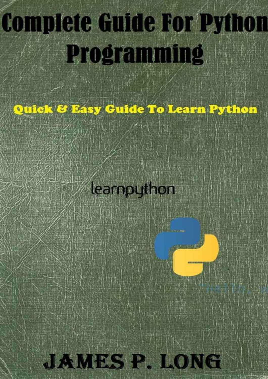# **Complete Guide For Python** Programming

# Quick & Easy Guide To Learn Python

# learmouthon

JAMES P. LONG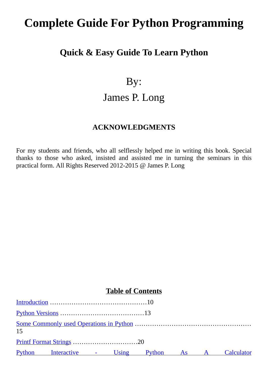#### **Complete Guide For Python Programming**

# **Quick & Easy Guide To Learn Python**

# By:

# James P. Long

## **ACKNOWLEDGMENTS**

For my students and friends, who all selflessly helped me in writing this book. Special thanks to those who asked, insisted and assisted me in turning the seminars in this practical form. All Rights Reserved 2012-2015 @ James P. Long

## **Table of Contents**

| 15 |                                                          |  |  |  |  |  |  |  |  |
|----|----------------------------------------------------------|--|--|--|--|--|--|--|--|
|    |                                                          |  |  |  |  |  |  |  |  |
|    | <u>Python Interactive - Using Python As A Calculator</u> |  |  |  |  |  |  |  |  |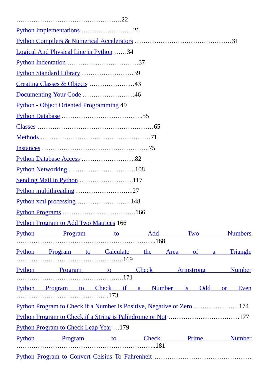| Python Implementations 26                                             |
|-----------------------------------------------------------------------|
|                                                                       |
| Logical And Physical Line in Python 34                                |
| Python Indentation 37                                                 |
| Python Standard Library 39                                            |
| Creating Classes & Objects 43                                         |
| Documenting Your Code 46                                              |
| <b>Python - Object Oriented Programming 49</b>                        |
|                                                                       |
|                                                                       |
|                                                                       |
|                                                                       |
| Python Database Access 82                                             |
|                                                                       |
| Sending Mail in Python 117                                            |
| Python multithreading 127                                             |
| Python xml processing 148                                             |
|                                                                       |
| <b>Python Program to Add Two Matrices 166</b>                         |
| Python Program to Add Two Numbers                                     |
|                                                                       |
| Python Program to Calculate the Area of a Triangle                    |
| <u>Python Program to Check Armstrong Number</u>                       |
| Python Program to Check if a Number is Odd or<br><b>Even</b>          |
|                                                                       |
| Python Program to Check if a Number is Positive, Negative or Zero 174 |
|                                                                       |
| Python Program to Check Leap Year 179                                 |
| <u>Python Program to Check Prime Number</u>                           |
|                                                                       |
|                                                                       |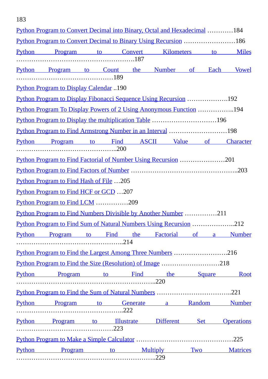| Python Program to Convert Decimal into Binary, Octal and Hexadecimal 184  |  |  |  |              |
|---------------------------------------------------------------------------|--|--|--|--------------|
| <u>Python Program to Convert Decimal to Binary Using Recursion</u> 186    |  |  |  |              |
| Python Program to Convert Kilometers to Miles                             |  |  |  |              |
| Python Program to Count the Number of Each                                |  |  |  | <b>Vowel</b> |
| <b>Python Program to Display Calendar 190</b>                             |  |  |  |              |
| Python Program to Display Fibonacci Sequence Using Recursion 192          |  |  |  |              |
| <u>Python Program To Display Powers of 2 Using Anonymous Function</u> 194 |  |  |  |              |
| <u>Python Program to Display the multiplication Table</u> 196             |  |  |  |              |
| <u>Python Program to Find Armstrong Number in an Interval 198</u>         |  |  |  |              |
| Python Program to Find ASCII Value of Character                           |  |  |  |              |
|                                                                           |  |  |  |              |
| Python Program to Find Factorial of Number Using Recursion 201            |  |  |  |              |
|                                                                           |  |  |  |              |
| <b>Python Program to Find Hash of File 205</b>                            |  |  |  |              |
| Python Program to Find HCF or GCD 207                                     |  |  |  |              |
| <b>Python Program to Find LCM 209</b>                                     |  |  |  |              |
| <b>Python Program to Find Numbers Divisible by Another Number 211</b>     |  |  |  |              |
| <u>Python Program to Find Sum of Natural Numbers Using Recursion</u> 212  |  |  |  |              |
| Python Program to Find the Factorial of a Number                          |  |  |  |              |
|                                                                           |  |  |  |              |
| Python Program to Find the Largest Among Three Numbers 216                |  |  |  |              |
| Python Program to Find the Size (Resolution) of Image 218                 |  |  |  |              |
| <u>Python Program to Find the Square Root</u>                             |  |  |  |              |
|                                                                           |  |  |  |              |
|                                                                           |  |  |  |              |
| Python Program to Generate a Random Number                                |  |  |  |              |
| Python Program to Illustrate Different Set Operations                     |  |  |  |              |
|                                                                           |  |  |  |              |
|                                                                           |  |  |  |              |
| Python Program to Multiply Two Matrices                                   |  |  |  |              |
|                                                                           |  |  |  |              |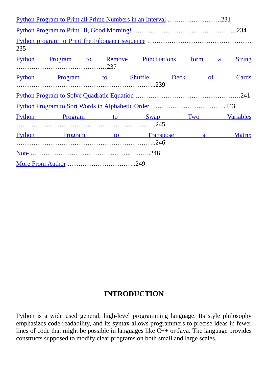| 235 |  |                                                                        |  |  |               |
|-----|--|------------------------------------------------------------------------|--|--|---------------|
|     |  | <u>Python Program to Remove Punctuations form a</u>                    |  |  | <b>String</b> |
|     |  |                                                                        |  |  |               |
|     |  | <u>Python Program to Shuffle Deck of Theory and Program to Shuffle</u> |  |  | Cards         |
|     |  |                                                                        |  |  |               |
|     |  |                                                                        |  |  |               |
|     |  |                                                                        |  |  |               |
|     |  | Python Program to Swap Two Variables                                   |  |  |               |
|     |  |                                                                        |  |  |               |
|     |  | Python Program to Transpose a                                          |  |  | <b>Matrix</b> |
|     |  |                                                                        |  |  |               |
|     |  |                                                                        |  |  |               |
|     |  |                                                                        |  |  |               |

# **INTRODUCTION**

<span id="page-4-0"></span>Python is a wide used general, high-level programming language. Its style philosophy emphasizes code readability, and its syntax allows programmers to precise ideas in fewer lines of code that might be possible in languages like  $C^{++}$  or Java. The language provides constructs supposed to modify clear programs on both small and large scales.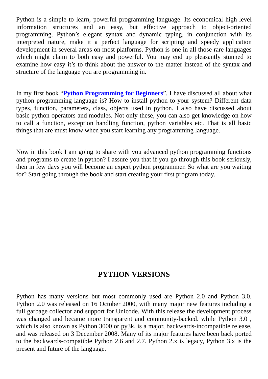Python is a simple to learn, powerful programming language. Its economical high-level information structures and an easy, but effective approach to object-oriented programming. Python's elegant syntax and dynamic typing, in conjunction with its interpreted nature, make it a perfect language for scripting and speedy application development in several areas on most platforms. Python is one in all those rare languages which might claim to both easy and powerful. You may end up pleasantly stunned to examine how easy it's to think about the answer to the matter instead of the syntax and structure of the language you are programming in.

In my first book "**Python Programming for Beginners**", I have discussed all about what python programming language is? How to install python to your system? Different data types, function, parameters, class, objects used in python. I also have discussed about basic python operators and [modules.](http://www.amazon.com/dp/B00QR1KFVK/) Not only these, you can also get knowledge on how to call a function, exception handling function, python variables etc. That is all basic things that are must know when you start learning any programming language.

Now in this book I am going to share with you advanced python programming functions and programs to create in python? I assure you that if you go through this book seriously, then in few days you will become an expert python programmer. So what are you waiting for? Start going through the book and start creating your first program today.

# **PYTHON VERSIONS**

<span id="page-5-0"></span>Python has many versions but most commonly used are Python 2.0 and Python 3.0. Python 2.0 was released on 16 October 2000, with many major new features including a full garbage collector and support for Unicode. With this release the development process was changed and became more transparent and community-backed. while Python 3.0 , which is also known as Python 3000 or py3k, is a major, backwards-incompatible release, and was released on 3 December 2008. Many of its major features have been back ported to the backwards-compatible Python 2.6 and 2.7. Python 2.x is legacy, Python 3.x is the present and future of the language.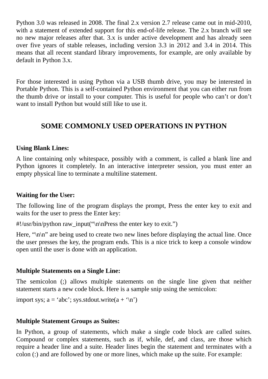Python 3.0 was released in 2008. The final 2.x version 2.7 release came out in mid-2010, with a statement of extended support for this end-of-life release. The 2.x branch will see no new major releases after that. 3.x is under active development and has already seen over five years of stable releases, including version 3.3 in 2012 and 3.4 in 2014. This means that all recent standard library improvements, for example, are only available by default in Python 3.x.

For those interested in using Python via a USB thumb drive, you may be interested in Portable Python. This is a self-contained Python environment that you can either run from the thumb drive or install to your computer. This is useful for people who can't or don't want to install Python but would still like to use it.

# **SOME COMMONLY USED OPERATIONS IN PYTHON**

#### <span id="page-6-0"></span>**Using Blank Lines:**

A line containing only whitespace, possibly with a comment, is called a blank line and Python ignores it completely. In an interactive interpreter session, you must enter an empty physical line to terminate a multiline statement.

#### **Waiting for the User:**

The following line of the program displays the prompt, Press the enter key to exit and waits for the user to press the Enter key:

#!/usr/bin/python raw\_input("\n\nPress the enter key to exit.")

Here, "\n\n" are being used to create two new lines before displaying the actual line. Once the user presses the key, the program ends. This is a nice trick to keep a console window open until the user is done with an application.

#### **Multiple Statements on a Single Line:**

The semicolon (;) allows multiple statements on the single line given that neither statement starts a new code block. Here is a sample snip using the semicolon:

```
import sys; a = 'abc'; sys.stdout.write(a + 'n')
```
#### **Multiple Statement Groups as Suites:**

In Python, a group of statements, which make a single code block are called suites. Compound or complex statements, such as if, while, def, and class, are those which require a header line and a suite. Header lines begin the statement and terminates with a colon (:) and are followed by one or more lines, which make up the suite. For example: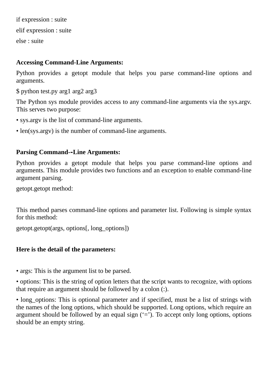if expression : suite elif expression : suite else : suite

#### **Accessing Command-Line Arguments:**

Python provides a getopt module that helps you parse command-line options and arguments.

\$ python test.py arg1 arg2 arg3

The Python sys module provides access to any command-line arguments via the sys.argv. This serves two purpose:

- sys.argv is the list of command-line arguments.
- len(sys.argv) is the number of command-line arguments.

#### **Parsing Command-‐Line Arguments:**

Python provides a getopt module that helps you parse command-line options and arguments. This module provides two functions and an exception to enable command-line argument parsing.

getopt.getopt method:

This method parses command-line options and parameter list. Following is simple syntax for this method:

getopt.getopt(args, options[, long\_options])

#### **Here is the detail of the parameters:**

• args: This is the argument list to be parsed.

• options: This is the string of option letters that the script wants to recognize, with options that require an argument should be followed by a colon (:).

• long\_options: This is optional parameter and if specified, must be a list of strings with the names of the long options, which should be supported. Long options, which require an argument should be followed by an equal sign  $(2)$ . To accept only long options, options should be an empty string.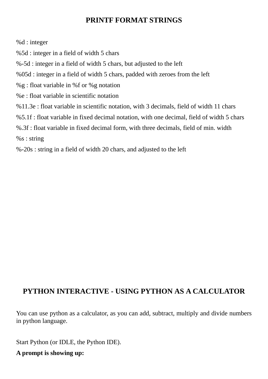# **PRINTF FORMAT STRINGS**

%d : integer

%5d : integer in a field of width 5 chars

%-5d : integer in a field of width 5 chars, but adjusted to the left

%05d : integer in a field of width 5 chars, padded with zeroes from the left

%g : float variable in %f or %g notation

%e : float variable in scientific notation

%11.3e : float variable in scientific notation, with 3 decimals, field of width 11 chars

%5.1f : float variable in fixed decimal notation, with one decimal, field of width 5 chars

%.3f : float variable in fixed decimal form, with three decimals, field of min. width

 $%s:$  string

%-20s : string in a field of width 20 chars, and adjusted to the left

# **PYTHON INTERACTIVE - USING PYTHON AS A CALCULATOR**

You can use python as a calculator, as you can add, subtract, multiply and divide numbers in python language.

Start Python (or IDLE, the Python IDE).

**A prompt is showing up:**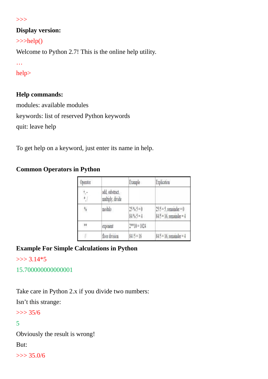>>>

#### **Display version:**

#### $\gg$ >help()

Welcome to Python 2.7! This is the online help utility.

#### …

#### help>

#### **Help commands:**

modules: available modules keywords: list of reserved Python keywords quit: leave help

To get help on a keyword, just enter its name in help.

#### **Common Operators in Python**

| Operator                              |                                     | Example               | Explication                                               |
|---------------------------------------|-------------------------------------|-----------------------|-----------------------------------------------------------|
| $\mathcal{F}_{\mathcal{F}}$ .<br>$^*$ | add, substract,<br>multiply, divide |                       |                                                           |
| %                                     | modulo                              | $25%5=0$<br>$84\%5=4$ | $25/5 = 5$ , remainder = 0<br>$84/5 = 16$ , remainder = 4 |
| \$\$                                  | exponent                            | $2**10=1024$          |                                                           |
|                                       | floor division                      | $84/5 = 16$           | $84/5 = 16$ , remainder = 4                               |

#### **Example For Simple Calculations in Python**

```
>> 3.14*5
```
15.700000000000001

Take care in Python 2.x if you divide two numbers:

Isn't this strange:

#### $>>$  35/6

#### 5

Obviously the result is wrong!

But:

>>> 35.0/6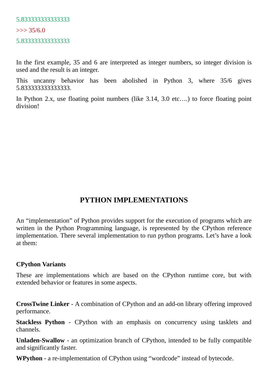5.833333333333333  $\gg$  35/6.0

5.833333333333333

In the first example, 35 and 6 are interpreted as integer numbers, so integer division is used and the result is an integer.

This uncanny behavior has been abolished in Python 3, where 35/6 gives 5.833333333333333.

<span id="page-10-0"></span>In Python 2.x, use floating point numbers (like 3.14, 3.0 etc...) to force floating point division!

# **PYTHON IMPLEMENTATIONS**

An "implementation" of Python provides support for the execution of programs which are written in the Python Programming language, is represented by the CPython reference implementation. There several implementation to run python programs. Let's have a look at them:

#### **CPython Variants**

These are implementations which are based on the CPython runtime core, but with extended behavior or features in some aspects.

**CrossTwine Linker** - A combination of CPython and an add-on library offering improved performance.

**Stackless Python** - CPython with an emphasis on concurrency using tasklets and channels.

**Unladen-Swallow** - an optimization branch of CPython, intended to be fully compatible and significantly faster.

**WPython** - a re-implementation of CPython using "wordcode" instead of bytecode.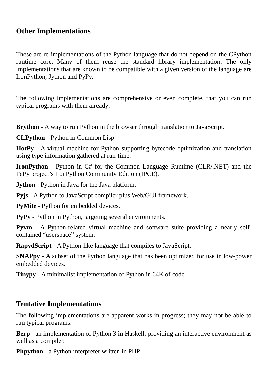# **Other Implementations**

These are re-implementations of the Python language that do not depend on the CPython runtime core. Many of them reuse the standard library implementation. The only implementations that are known to be compatible with a given version of the language are IronPython, Jython and PyPy.

The following implementations are comprehensive or even complete, that you can run typical programs with them already:

**Brython** - A way to run Python in the browser through translation to JavaScript.

**CLPython** - Python in Common Lisp.

**HotPy** - A virtual machine for Python supporting bytecode optimization and translation using type information gathered at run-time.

**IronPython** - Python in C# for the Common Language Runtime (CLR/.NET) and the FePy project's IronPython Community Edition (IPCE).

**Jython** - Python in Java for the Java platform.

**Pyjs** - A Python to JavaScript compiler plus Web/GUI framework.

**PyMite** - Python for embedded devices.

**PyPy** - Python in Python, targeting several environments.

**Pyvm** - A Python-related virtual machine and software suite providing a nearly selfcontained "userspace" system.

**RapydScript** - A Python-like language that compiles to JavaScript.

**SNAPpy** - A subset of the Python language that has been optimized for use in low-power embedded devices.

**Tinypy** - A minimalist implementation of Python in 64K of code .

#### **Tentative Implementations**

The following implementations are apparent works in progress; they may not be able to run typical programs:

**Berp** - an implementation of Python 3 in Haskell, providing an interactive environment as well as a compiler.

**Phpython** - a Python interpreter written in PHP.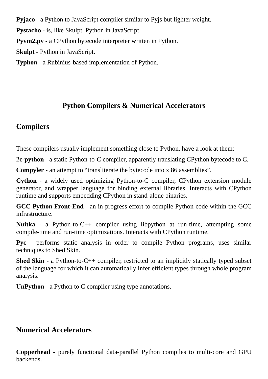**Pyjaco** - a Python to JavaScript compiler similar to Pyjs but lighter weight.

**Pystacho** - is, like Skulpt, Python in JavaScript.

**Pyvm2.py** - a CPython bytecode interpreter written in Python.

**Skulpt** - Python in JavaScript.

<span id="page-12-0"></span>**Typhon** - a Rubinius-based implementation of Python.

# **Python Compilers & Numerical Accelerators**

# **Compilers**

These compilers usually implement something close to Python, have a look at them:

**2c-python** - a static Python-to-C compiler, apparently translating CPython bytecode to C.

**Compyler** - an attempt to "transliterate the bytecode into x 86 assemblies".

**Cython** - a widely used optimizing Python-to-C compiler, CPython extension module generator, and wrapper language for binding external libraries. Interacts with CPython runtime and supports embedding CPython in stand-alone binaries.

**GCC Python Front-End** - an in-progress effort to compile Python code within the GCC infrastructure.

**Nuitka** - a Python-to-C++ compiler using libpython at run-time, attempting some compile-time and run-time optimizations. Interacts with CPython runtime.

**Pyc** - performs static analysis in order to compile Python programs, uses similar techniques to Shed Skin.

**Shed Skin** - a Python-to-C++ compiler, restricted to an implicitly statically typed subset of the language for which it can automatically infer efficient types through whole program analysis.

**UnPython** - a Python to C compiler using type annotations.

# **Numerical Accelerators**

**Copperhead** - purely functional data-parallel Python compiles to multi-core and GPU backends.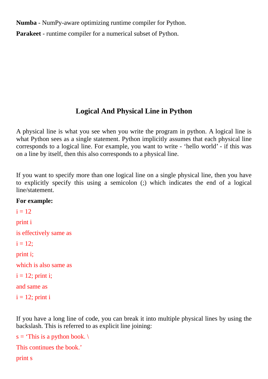<span id="page-13-0"></span>**Numba** - NumPy-aware optimizing runtime compiler for Python. **Parakeet** - runtime compiler for a numerical subset of Python.

# **Logical And Physical Line in Python**

A physical line is what you see when you write the program in python. A logical line is what Python sees as a single statement. Python implicitly assumes that each physical line corresponds to a logical line. For example, you want to write - 'hello world' - if this was on a line by itself, then this also corresponds to a physical line.

If you want to specify more than one logical line on a single physical line, then you have to explicitly specify this using a semicolon (;) which indicates the end of a logical line/statement.

#### **For example:**

 $i = 12$ print i is effectively same as  $i = 12$ ; print i; which is also same as  $i = 12$ ; print i; and same as  $i = 12$ ; print i

If you have a long line of code, you can break it into multiple physical lines by using the backslash. This is referred to as explicit line joining:

```
s = 'This is a python book. \setminusThis continues the book.'
print s
```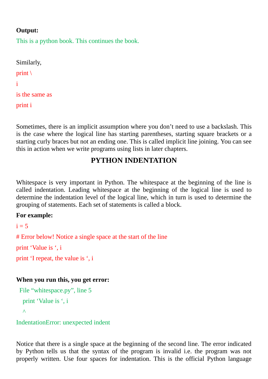#### **Output:**

This is a python book. This continues the book.

Similarly, print  $\setminus$ i is the same as print i

Sometimes, there is an implicit assumption where you don't need to use a backslash. This is the case where the logical line has starting parentheses, starting square brackets or a starting curly braces but not an ending one. This is called implicit line joining. You can see this in action when we write programs using lists in later chapters.

# **PYTHON INDENTATION**

<span id="page-14-0"></span>Whitespace is very important in Python. The whitespace at the beginning of the line is called indentation. Leading whitespace at the beginning of the logical line is used to determine the indentation level of the logical line, which in turn is used to determine the grouping of statements. Each set of statements is called a block.

#### **For example:**

 $i = 5$ 

# Error below! Notice a single space at the start of the line

print 'Value is ', i

print 'I repeat, the value is ', i

#### **When you run this, you get error:**

```
File "whitespace.py", line 5
 print 'Value is ', i
 \Lambda
```
IndentationError: unexpected indent

Notice that there is a single space at the beginning of the second line. The error indicated by Python tells us that the syntax of the program is invalid i.e. the program was not properly written. Use four spaces for indentation. This is the official Python language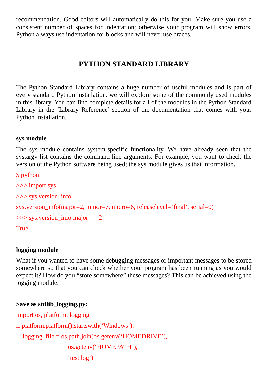recommendation. Good editors will automatically do this for you. Make sure you use a consistent number of spaces for indentation; otherwise your program will show errors. Python always use indentation for blocks and will never use braces.

# **PYTHON STANDARD LIBRARY**

<span id="page-15-0"></span>The Python Standard Library contains a huge number of useful modules and is part of every standard Python installation. we will explore some of the commonly used modules in this library. You can find complete details for all of the modules in the Python Standard Library in the 'Library Reference' section of the documentation that comes with your Python installation.

#### **sys module**

The sys module contains system-specific functionality. We have already seen that the sys.argv list contains the command-line arguments. For example, you want to check the version of the Python software being used; the sys module gives us that information.

```
$ python
>>> import sys
>>> sys.version_info
sys.version_info(major=2, minor=7, micro=6, releaselevel='final', serial=0)
\gg sys.version info.major == 2
True
```
#### **logging module**

What if you wanted to have some debugging messages or important messages to be stored somewhere so that you can check whether your program has been running as you would expect it? How do you "store somewhere" these messages? This can be achieved using the logging module.

#### **Save as stdlib\_logging.py:**

```
import os, platform, logging
if platform.platform().startswith('Windows'):
  logging file = os.path.join(os.getenv('HOMEDRIVE'),
                   os.getenv('HOMEPATH'),
                   'test.log')
```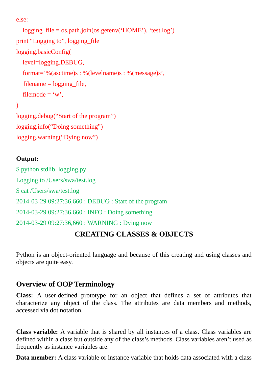else:

```
logging_file = os.path.join(os.getenv('HOME'), 'test.log')
print "Logging to", logging_file
logging.basicConfig(
  level=logging.DEBUG,
  format='%(asctime)s : %(levelname)s : %(message)s',
  filename = logging_file,
  filemode = w,
)
```

```
logging.debug("Start of the program")
logging.info("Doing something")
logging.warning("Dying now")
```
# **Output:**

\$ python stdlib\_logging.py Logging to /Users/swa/test.log \$ cat /Users/swa/test.log 2014-03-29 09:27:36,660 : DEBUG : Start of the program 2014-03-29 09:27:36,660 : INFO : Doing something 2014-03-29 09:27:36,660 : WARNING : Dying now

# **CREATING CLASSES & OBJECTS**

<span id="page-16-0"></span>Python is an object-oriented language and because of this creating and using classes and objects are quite easy.

# **Overview of OOP Terminology**

**Class:** A user-defined prototype for an object that defines a set of attributes that characterize any object of the class. The attributes are data members and methods, accessed via dot notation.

**Class variable:** A variable that is shared by all instances of a class. Class variables are defined within a class but outside any of the class's methods. Class variables aren't used as frequently as instance variables are.

**Data member:** A class variable or instance variable that holds data associated with a class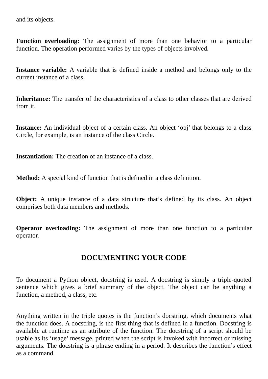and its objects.

**Function overloading:** The assignment of more than one behavior to a particular function. The operation performed varies by the types of objects involved.

**Instance variable:** A variable that is defined inside a method and belongs only to the current instance of a class.

**Inheritance:** The transfer of the characteristics of a class to other classes that are derived from it.

**Instance:** An individual object of a certain class. An object 'obj' that belongs to a class Circle, for example, is an instance of the class Circle.

**Instantiation:** The creation of an instance of a class.

**Method:** A special kind of function that is defined in a class definition.

**Object:** A unique instance of a data structure that's defined by its class. An object comprises both data members and methods.

**Operator overloading:** The assignment of more than one function to a particular operator.

#### **DOCUMENTING YOUR CODE**

<span id="page-17-0"></span>To document a Python object, docstring is used. A docstring is simply a triple-quoted sentence which gives a brief summary of the object. The object can be anything a function, a method, a class, etc.

Anything written in the triple quotes is the function's docstring, which documents what the function does. A docstring, is the first thing that is defined in a function. Docstring is available at runtime as an attribute of the function. The docstring of a script should be usable as its 'usage' message, printed when the script is invoked with incorrect or missing arguments. The docstring is a phrase ending in a period. It describes the function's effect as a command.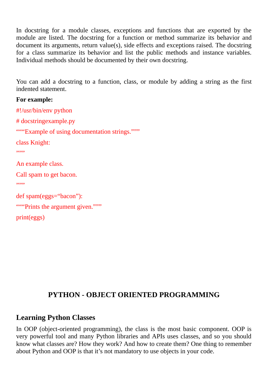In docstring for a module classes, exceptions and functions that are exported by the module are listed. The docstring for a function or method summarize its behavior and document its arguments, return value(s), side effects and exceptions raised. The docstring for a class summarize its behavior and list the public methods and instance variables. Individual methods should be documented by their own docstring.

You can add a docstring to a function, class, or module by adding a string as the first indented statement.

#### **For example:**

```
#!/usr/bin/env python
# docstringexample.py
"""Example of using documentation strings."""
class Knight:
""""
An example class.
Call spam to get bacon.
""""
def spam(eggs="bacon"):
"""Prints the argument given."""
print(eggs)
```
# <span id="page-18-0"></span>**PYTHON - OBJECT ORIENTED PROGRAMMING**

## **Learning Python Classes**

In OOP (object-oriented programming), the class is the most basic component. OOP is very powerful tool and many Python libraries and APIs uses classes, and so you should know what classes are? How they work? And how to create them? One thing to remember about Python and OOP is that it's not mandatory to use objects in your code.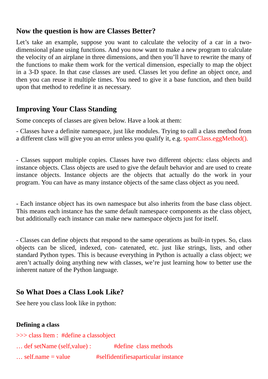# **Now the question is how are Classes Better?**

Let's take an example, suppose you want to calculate the velocity of a car in a twodimensional plane using functions. And you now want to make a new program to calculate the velocity of an airplane in three dimensions, and then you'll have to rewrite the many of the functions to make them work for the vertical dimension, especially to map the object in a 3-D space. In that case classes are used. Classes let you define an object once, and then you can reuse it multiple times. You need to give it a base function, and then build upon that method to redefine it as necessary.

# **Improving Your Class Standing**

Some concepts of classes are given below. Have a look at them:

- Classes have a definite namespace, just like modules. Trying to call a class method from a different class will give you an error unless you qualify it, e.g. spamClass.eggMethod().

- Classes support multiple copies. Classes have two different objects: class objects and instance objects. Class objects are used to give the default behavior and are used to create instance objects. Instance objects are the objects that actually do the work in your program. You can have as many instance objects of the same class object as you need.

- Each instance object has its own namespace but also inherits from the base class object. This means each instance has the same default namespace components as the class object, but additionally each instance can make new namespace objects just for itself.

- Classes can define objects that respond to the same operations as built-in types. So, class objects can be sliced, indexed, con- catenated, etc. just like strings, lists, and other standard Python types. This is because everything in Python is actually a class object; we aren't actually doing anything new with classes, we're just learning how to better use the inherent nature of the Python language.

# **So What Does a Class Look Like?**

See here you class look like in python:

## **Defining a class**

>>> class Item : #define a classobject

... def setName (self, value) : #define class methods

 $\ldots$  self.name = value  $\qquad \qquad$  #selfidentifiesaparticular instance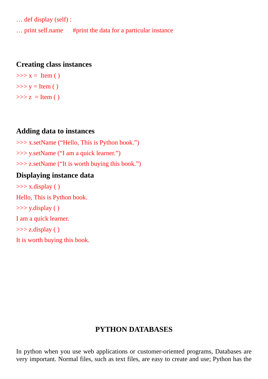… def display (self) :

… print self.name #print the data for a particular instance

#### **Creating class instances**

 $>> x =$  Item ( )  $\Rightarrow$   $y =$  Item ( )  $\Rightarrow$  z = Item ( )

#### **Adding data to instances**

>>> x.setName ("Hello, This is Python book.") >>> y.setName ("I am a quick learner.") >>> z.setName ("It is worth buying this book.") **Displaying instance data**  $\gg$  x.display ( ) Hello, This is Python book.

<span id="page-20-0"></span>>>> y.display ( ) I am a quick learner.  $\gg$  z.display ( ) It is worth buying this book.

## **PYTHON DATABASES**

In python when you use web applications or customer-oriented programs, Databases are very important. Normal files, such as text files, are easy to create and use; Python has the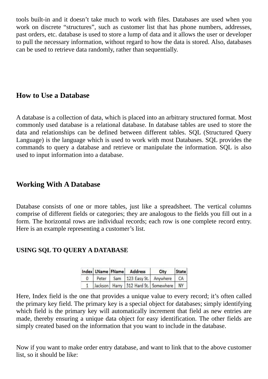tools built-in and it doesn't take much to work with files. Databases are used when you work on discrete "structures", such as customer list that has phone numbers, addresses, past orders, etc. database is used to store a lump of data and it allows the user or developer to pull the necessary information, without regard to how the data is stored. Also, databases can be used to retrieve data randomly, rather than sequentially.

# **How to Use a Database**

A database is a collection of data, which is placed into an arbitrary structured format. Most commonly used database is a relational database. In database tables are used to store the data and relationships can be defined between different tables. SQL (Structured Query Language) is the language which is used to work with most Databases. SQL provides the commands to query a database and retrieve or manipulate the information. SQL is also used to input information into a database.

# **Working With A Database**

Database consists of one or more tables, just like a spreadsheet. The vertical columns comprise of different fields or categories; they are analogous to the fields you fill out in a form. The horizontal rows are individual records; each row is one complete record entry. Here is an example representing a customer's list.

#### **USING SQL TO QUERY A DATABASE**

|  |  | Index LName FName Address                     | City | State |  |
|--|--|-----------------------------------------------|------|-------|--|
|  |  | Peter   Sam   123 Easy St.   Anywhere   CA    |      |       |  |
|  |  | Jackson   Harry 312 Hard St.   Somewhere   NY |      |       |  |

Here, Index field is the one that provides a unique value to every record; it's often called the primary key field. The primary key is a special object for databases; simply identifying which field is the primary key will automatically increment that field as new entries are made, thereby ensuring a unique data object for easy identification. The other fields are simply created based on the information that you want to include in the database.

Now if you want to make order entry database, and want to link that to the above customer list, so it should be like: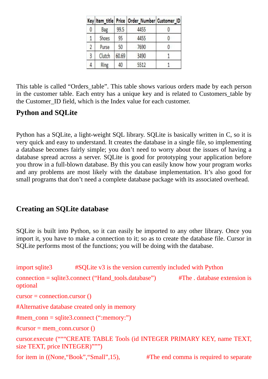|                |        |       | Key Item title Price Order_Number Customer_ID |  |
|----------------|--------|-------|-----------------------------------------------|--|
| O              | Bag    | 99.5  | 4455                                          |  |
| 1              | Shoes  | 95    | 4455                                          |  |
| $\overline{2}$ | Purse  | 50    | 7690                                          |  |
| $\overline{3}$ | Clutch | 60.69 | 3490                                          |  |
|                | Ring   | 40    | 5512                                          |  |

This table is called "Orders table". This table shows various orders made by each person in the customer table. Each entry has a unique key and is related to Customers table by the Customer\_ID field, which is the Index value for each customer.

# **Python and SQLite**

Python has a SQLite, a light-weight SQL library. SQLite is basically written in C, so it is very quick and easy to understand. It creates the database in a single file, so implementing a database becomes fairly simple; you don't need to worry about the issues of having a database spread across a server. SQLite is good for prototyping your application before you throw in a full-blown database. By this you can easily know how your program works and any problems are most likely with the database implementation. It's also good for small programs that don't need a complete database package with its associated overhead.

#### **Creating an SQLite database**

SQLite is built into Python, so it can easily be imported to any other library. Once you import it, you have to make a connection to it; so as to create the database file. Cursor in SQLite performs most of the functions; you will be doing with the database.

```
import sqlite3 #SQLite v3 is the version currently included with Python
connection = sqlite3.connect ("Hand_tools.database") #The . database extension is
optional
cursor = connection.cursor ()
#Alternative database created only in memory
#mem_conn = sqlite3.connect (":memory:")
\# \text{cursor} = \text{mem} \text{ conn.} \text{ cursor}()cursor.execute ("""CREATE TABLE Tools (id INTEGER PRIMARY KEY, name TEXT,
size TEXT, price INTEGER)""")
for item in ((None,"Book","Small",15), #The end comma is required to separate
```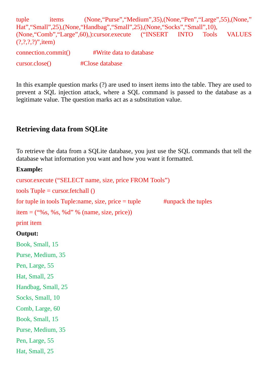|                       |                     | tuple items (None, "Purse", "Medium", 35), (None, "Pen", "Large", 55), (None,"    |  |  |
|-----------------------|---------------------|-----------------------------------------------------------------------------------|--|--|
|                       |                     | Hat", "Small", 25), (None, "Handbag", "Small", 25), (None, "Socks", "Small", 10), |  |  |
| $(?,?,?,?,?)'$ , item |                     | (None, "Comb", "Large", 60), ): cursor. execute ("INSERT INTO Tools VALUES        |  |  |
|                       | connection.commit() | #Write data to database                                                           |  |  |
| cursor.close()        |                     | #Close database                                                                   |  |  |

In this example question marks (?) are used to insert items into the table. They are used to prevent a SQL injection attack, where a SQL command is passed to the database as a legitimate value. The question marks act as a substitution value.

# **Retrieving data from SQLite**

To retrieve the data from a SQLite database, you just use the SQL commands that tell the database what information you want and how you want it formatted.

#### **Example:**

```
cursor.execute ("SELECT name, size, price FROM Tools")
tools Tuple = cursor.fetchall ()
for tuple in tools Tuple: name, size, price = tuple \#unpack the tuples
item = (^{6}\%s, \%s, \%d" % (name, size, price))
print item
Output:
Book, Small, 15
Purse, Medium, 35
Pen, Large, 55
Hat, Small, 25
Handbag, Small, 25
Socks, Small, 10
Comb, Large, 60
Book, Small, 15
Purse, Medium, 35
Pen, Large, 55
Hat, Small, 25
```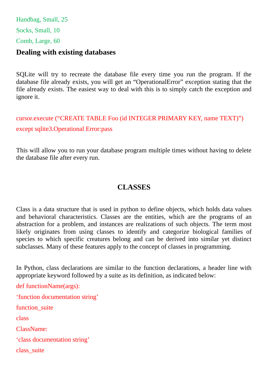Handbag, Small, 25 Socks, Small, 10 Comb, Large, 60

#### **Dealing with existing databases**

SQLite will try to recreate the database file every time you run the program. If the database file already exists, you will get an "OperationalError" exception stating that the file already exists. The easiest way to deal with this is to simply catch the exception and ignore it.

cursor.execute ("CREATE TABLE Foo (id INTEGER PRIMARY KEY, name TEXT)") except sqlite3.Operational Error:pass

This will allow you to run your database program multiple times without having to delete the database file after every run.

# **CLASSES**

<span id="page-24-0"></span>Class is a data structure that is used in python to define objects, which holds data values and behavioral characteristics. Classes are the entities, which are the programs of an abstraction for a problem, and instances are realizations of such objects. The term most likely originates from using classes to identify and categorize biological families of species to which specific creatures belong and can be derived into similar yet distinct subclasses. Many of these features apply to the concept of classes in programming.

In Python, class declarations are similar to the function declarations, a header line with appropriate keyword followed by a suite as its definition, as indicated below:

def functionName(args): 'function documentation string' function\_suite class ClassName: 'class documentation string' class\_suite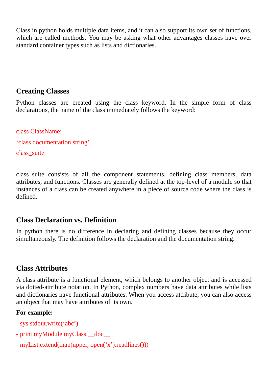Class in python holds multiple data items, and it can also support its own set of functions, which are called methods. You may be asking what other advantages classes have over standard container types such as lists and dictionaries.

## **Creating Classes**

Python classes are created using the class keyword. In the simple form of class declarations, the name of the class immediately follows the keyword:

class ClassName: 'class documentation string' class\_suite

class\_suite consists of all the component statements, defining class members, data attributes, and functions. Classes are generally defined at the top-level of a module so that instances of a class can be created anywhere in a piece of source code where the class is defined.

# **Class Declaration vs. Definition**

In python there is no difference in declaring and defining classes because they occur simultaneously. The definition follows the declaration and the documentation string.

# **Class Attributes**

A class attribute is a functional element, which belongs to another object and is accessed via dotted-attribute notation. In Python, complex numbers have data attributes while lists and dictionaries have functional attributes. When you access attribute, you can also access an object that may have attributes of its own.

#### **For example:**

- sys.stdout.write('abc')
- print myModule.myClass. doc
- myList.extend(map(upper, open('x').readlines()))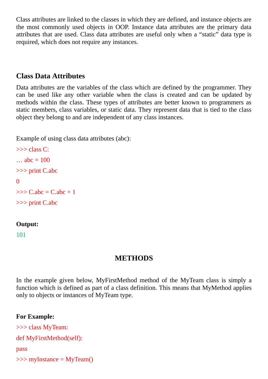Class attributes are linked to the classes in which they are defined, and instance objects are the most commonly used objects in OOP. Instance data attributes are the primary data attributes that are used. Class data attributes are useful only when a "static" data type is required, which does not require any instances.

# **Class Data Attributes**

Data attributes are the variables of the class which are defined by the programmer. They can be used like any other variable when the class is created and can be updated by methods within the class. These types of attributes are better known to programmers as static members, class variables, or static data. They represent data that is tied to the class object they belong to and are independent of any class instances.

Example of using class data attributes (abc):

```
>>> class C:
\ldots abc = 100
>>> print C.abc
0
>> C.abc = C.abc + 1
>>> print C.abc
```
#### **Output:**

<span id="page-26-0"></span>101

#### **METHODS**

In the example given below, MyFirstMethod method of the MyTeam class is simply a function which is defined as part of a class definition. This means that MyMethod applies only to objects or instances of MyTeam type.

```
For Example:
```

```
>>> class MyTeam:
def MyFirstMethod(self):
pass
>>> myInstance = MyTeam()
```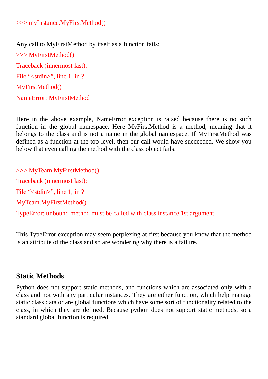#### >>> myInstance.MyFirstMethod()

Any call to MyFirstMethod by itself as a function fails: >>> MyFirstMethod() Traceback (innermost last): File "<stdin>", line 1, in ? MyFirstMethod() NameError: MyFirstMethod

Here in the above example, NameError exception is raised because there is no such function in the global namespace. Here MyFirstMethod is a method, meaning that it belongs to the class and is not a name in the global namespace. If MyFirstMethod was defined as a function at the top-level, then our call would have succeeded. We show you below that even calling the method with the class object fails.

>>> MyTeam.MyFirstMethod() Traceback (innermost last): File "<stdin>", line 1, in ? MyTeam.MyFirstMethod() TypeError: unbound method must be called with class instance 1st argument

This TypeError exception may seem perplexing at first because you know that the method is an attribute of the class and so are wondering why there is a failure.

#### **Static Methods**

<span id="page-27-0"></span>Python does not support static methods, and functions which are associated only with a class and not with any particular instances. They are either function, which help manage static class data or are global functions which have some sort of functionality related to the class, in which they are defined. Because python does not support static methods, so a standard global function is required.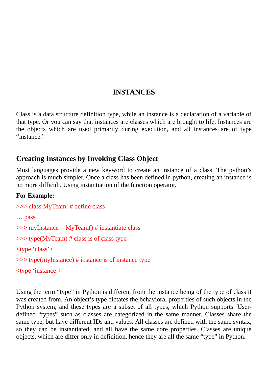# **INSTANCES**

Class is a data structure definition type, while an instance is a declaration of a variable of that type. Or you can say that instances are classes which are brought to life. Instances are the objects which are used primarily during execution, and all instances are of type "instance."

# **Creating Instances by Invoking Class Object**

Most languages provide a new keyword to create an instance of a class. The python's approach is much simpler. Once a class has been defined in python, creating an instance is no more difficult. Using instantiation of the function operator.

#### **For Example:**

```
>>> class MyTeam: # define class
… pass
>>> myInstance = MyTeam() # instantiate class
\gg type(MyTeam) # class is of class type
<type 'class'>
>>> type(myInstance) # instance is of instance type
<type 'instance'>
```
Using the term "type" in Python is different from the instance being of the type of class it was created from. An object's type dictates the behavioral properties of such objects in the Python system, and these types are a subset of all types, which Python supports. Userdefined "types" such as classes are categorized in the same manner. Classes share the same type, but have different IDs and values. All classes are defined with the same syntax, so they can be instantiated, and all have the same core properties. Classes are unique objects, which are differ only in definition, hence they are all the same "type" in Python.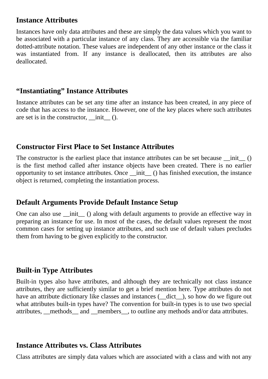# **Instance Attributes**

Instances have only data attributes and these are simply the data values which you want to be associated with a particular instance of any class. They are accessible via the familiar dotted-attribute notation. These values are independent of any other instance or the class it was instantiated from. If any instance is deallocated, then its attributes are also deallocated.

# **"Instantiating" Instance Attributes**

Instance attributes can be set any time after an instance has been created, in any piece of code that has access to the instance. However, one of the key places where such attributes are set is in the constructor, \_\_init\_\_ ().

#### **Constructor First Place to Set Instance Attributes**

The constructor is the earliest place that instance attributes can be set because  $\text{unit}$  () is the first method called after instance objects have been created. There is no earlier opportunity to set instance attributes. Once \_\_init\_\_ () has finished execution, the instance object is returned, completing the instantiation process.

## **Default Arguments Provide Default Instance Setup**

One can also use init () along with default arguments to provide an effective way in preparing an instance for use. In most of the cases, the default values represent the most common cases for setting up instance attributes, and such use of default values precludes them from having to be given explicitly to the constructor.

## **Built-in Type Attributes**

Built-in types also have attributes, and although they are technically not class instance attributes, they are sufficiently similar to get a brief mention here. Type attributes do not have an attribute dictionary like classes and instances ( $\cdot$  dict  $\cdot$ ), so how do we figure out what attributes built-in types have? The convention for built-in types is to use two special attributes, methods and members, to outline any methods and/or data attributes.

## **Instance Attributes vs. Class Attributes**

Class attributes are simply data values which are associated with a class and with not any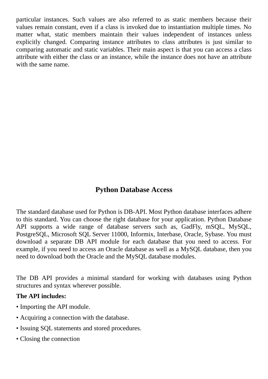<span id="page-30-0"></span>particular instances. Such values are also referred to as static members because their values remain constant, even if a class is invoked due to instantiation multiple times. No matter what, static members maintain their values independent of instances unless explicitly changed. Comparing instance attributes to class attributes is just similar to comparing automatic and static variables. Their main aspect is that you can access a class attribute with either the class or an instance, while the instance does not have an attribute with the same name.

# **Python Database Access**

The standard database used for Python is DB-API. Most Python database interfaces adhere to this standard. You can choose the right database for your application. Python Database API supports a wide range of database servers such as, GadFly, mSQL, MySQL, PostgreSQL, Microsoft SQL Server 11000, Informix, Interbase, Oracle, Sybase. You must download a separate DB API module for each database that you need to access. For example, if you need to access an Oracle database as well as a MySQL database, then you need to download both the Oracle and the MySQL database modules.

The DB API provides a minimal standard for working with databases using Python structures and syntax wherever possible.

#### **The API includes:**

- Importing the API module.
- Acquiring a connection with the database.
- Issuing SQL statements and stored procedures.
- Closing the connection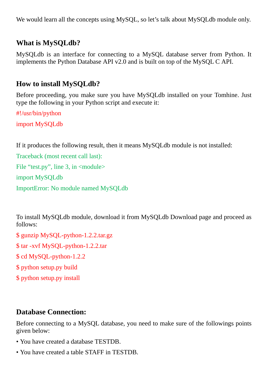We would learn all the concepts using MySQL, so let's talk about MySQLdb module only.

# **What is MySQLdb?**

MySQLdb is an interface for connecting to a MySQL database server from Python. It implements the Python Database API v2.0 and is built on top of the MySQL C API.

# **How to install MySQLdb?**

Before proceeding, you make sure you have MySQLdb installed on your Tomhine. Just type the following in your Python script and execute it:

#!/usr/bin/python import MySQLdb

If it produces the following result, then it means MySQLdb module is not installed:

Traceback (most recent call last): File "test.py", line 3, in  $\leq$  module> import MySQLdb ImportError: No module named MySQLdb

To install MySQLdb module, download it from MySQLdb Download page and proceed as follows:

- \$ gunzip MySQL-python-1.2.2.tar.gz
- \$ tar -xvf MySQL-python-1.2.2.tar
- \$ cd MySQL-python-1.2.2
- \$ python setup.py build
- \$ python setup.py install

# **Database Connection:**

Before connecting to a MySQL database, you need to make sure of the followings points given below:

- You have created a database TESTDB.
- You have created a table STAFF in TESTDB.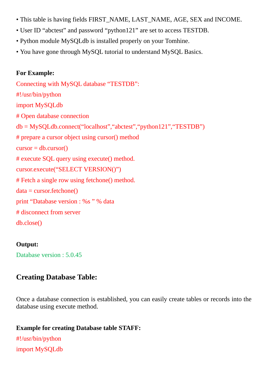- This table is having fields FIRST\_NAME, LAST\_NAME, AGE, SEX and INCOME.
- User ID "abctest" and password "python121" are set to access TESTDB.
- Python module MySQLdb is installed properly on your Tomhine.
- You have gone through MySQL tutorial to understand MySQL Basics.

# **For Example:**

Connecting with MySQL database "TESTDB": #!/usr/bin/python import MySQLdb # Open database connection db = MySQLdb.connect("localhost","abctest","python121","TESTDB") # prepare a cursor object using cursor() method cursor = db.cursor() # execute SQL query using execute() method. cursor.execute("SELECT VERSION()") # Fetch a single row using fetchone() method. data = cursor.fetchone() print "Database version : %s " % data # disconnect from server db.close()

#### **Output:**

Database version : 5.0.45

# **Creating Database Table:**

Once a database connection is established, you can easily create tables or records into the database using execute method.

**Example for creating Database table STAFF:**

#!/usr/bin/python import MySQLdb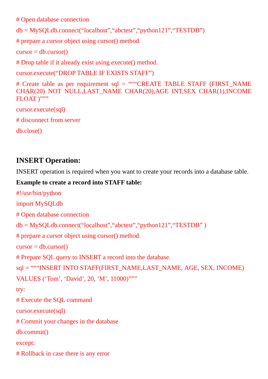```
# Open database connection
db = MySQLdb.connect("localhost","abctest","python121","TESTDB")
# prepare a cursor object using cursor() method
cursor = db.cursor()# Drop table if it already exist using execute() method.
cursor.execute("DROP TABLE IF EXISTS STAFF")
# Create table as per requirement sql = """CREATE TABLE STAFF (FIRST_NAME
CHAR(20) NOT NULL,LAST_NAME CHAR(20),AGE INT,SEX CHAR(1),INCOME
FLOAT )"""
cursor.execute(sql)
# disconnect from server
db.close()
```
# **INSERT Operation:**

INSERT operation is required when you want to create your records into a database table.

```
Example to create a record into STAFF table:
#!/usr/bin/python
import MySQLdb
# Open database connection
db = MySQLdb.connect("localhost","abctest","python121","TESTDB" )
# prepare a cursor object using cursor() method
cursor = db.cursor()
# Prepare SQL query to INSERT a record into the database.
sql = """INSERT INTO STAFF(FIRST_NAME,LAST_NAME, AGE, SEX, INCOME)
VALUES ('Tom', 'David', 20, 'M', 11000)"""
try:
# Execute the SQL command
cursor.execute(sql)
# Commit your changes in the database
db.commit()
except:
# Rollback in case there is any error
```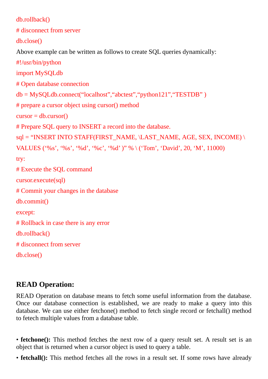```
db.rollback()
# disconnect from server
db.close()
Above example can be written as follows to create SQL queries dynamically:
#!/usr/bin/python
import MySQLdb
# Open database connection
db = MySQLdb.connect("localhost","abctest","python121","TESTDB" )
# prepare a cursor object using cursor() method
cursor = db.cursor()# Prepare SQL query to INSERT a record into the database.
sgl = "INSERT INTO STATE(FIRST\_NAME, \text{LAST\_NAME}, AGE, SEX, INCOMP) \setminusVALUES ('%s', '%s', '%d', '%c', '%d' )" % \ ('Tom', 'David', 20, 'M', 11000)
try:
# Execute the SQL command
cursor.execute(sql)
# Commit your changes in the database
db.commit()
except:
# Rollback in case there is any error
db.rollback()
# disconnect from server
db.close()
```
# **READ Operation:**

READ Operation on database means to fetch some useful information from the database. Once our database connection is established, we are ready to make a query into this database. We can use either fetchone() method to fetch single record or fetchall() method to fetech multiple values from a database table.

• **fetchone():** This method fetches the next row of a query result set. A result set is an object that is returned when a cursor object is used to query a table.

• **fetchall():** This method fetches all the rows in a result set. If some rows have already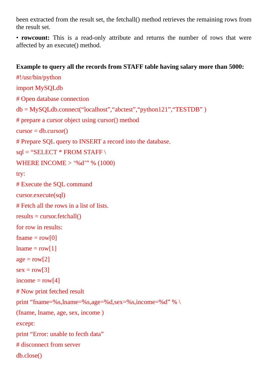been extracted from the result set, the fetchall() method retrieves the remaining rows from the result set.

• **rowcount:** This is a read-only attribute and returns the number of rows that were affected by an execute() method.

#### **Example to query all the records from STAFF table having salary more than 5000:**

```
#!/usr/bin/python
import MySQLdb
# Open database connection
db = MySQLdb.connect("localhost","abctest","python121","TESTDB" )
# prepare a cursor object using cursor() method
cursor = db.cursor()# Prepare SQL query to INSERT a record into the database.
sgl = "SELECT * FROM STATE \WHERE INCOME > '%d'" % (1000)
try:
# Execute the SQL command
cursor.execute(sql)
# Fetch all the rows in a list of lists.
results = cursor.fetchall()for row in results:
fname = row[0]lname = row[1]age = row[2]sex = row[3]income = row[4]# Now print fetched result
print "fname=%s,lname=%s,age=%d,sex=%s,income=%d" % \
(fname, lname, age, sex, income )
except:
print "Error: unable to fecth data"
# disconnect from server
db.close()
```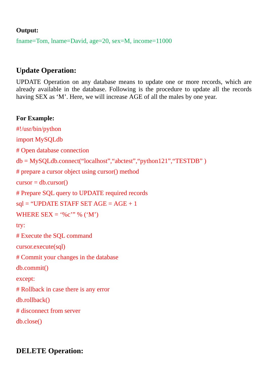### **Output:**

fname=Tom, lname=David, age=20, sex=M, income=11000

## **Update Operation:**

UPDATE Operation on any database means to update one or more records, which are already available in the database. Following is the procedure to update all the records having SEX as 'M'. Here, we will increase AGE of all the males by one year.

#### **For Example:**

#!/usr/bin/python import MySQLdb # Open database connection db = MySQLdb.connect("localhost","abctest","python121","TESTDB" ) # prepare a cursor object using cursor() method cursor = db.cursor() # Prepare SQL query to UPDATE required records  $sgl = "UPDATE STATE SETAGE =AGE + 1$ WHERE  $SEX = '%c''' % ('M')$ try: # Execute the SQL command cursor.execute(sql) # Commit your changes in the database db.commit() except: # Rollback in case there is any error db.rollback() # disconnect from server db.close()

## **DELETE Operation:**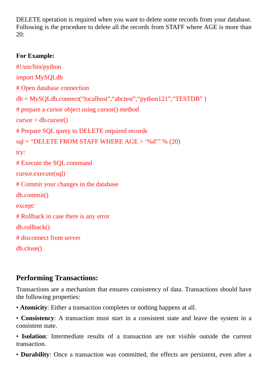DELETE operation is required when you want to delete some records from your database. Following is the procedure to delete all the records from STAFF where AGE is more than 20:

### **For Example:**

```
#!/usr/bin/python
import MySQLdb
# Open database connection
db = MySQLdb.connect("localhost","abctest","python121","TESTDB" )
# prepare a cursor object using cursor() method
cursor = db.cursor()
# Prepare SQL query to DELETE required records
sgl = "DELETE FROM STATEWHERE AGE > "%d" % (20)try:
# Execute the SQL command
cursor.execute(sql)
# Commit your changes in the database
db.commit()
except:
# Rollback in case there is any error
db.rollback()
# disconnect from server
db.close()
```
## **Performing Transactions:**

Transactions are a mechanism that ensures consistency of data. Transactions should have the following properties:

• **Atomicity**: Either a transaction completes or nothing happens at all.

• **Consistency**: A transaction must start in a consistent state and leave the system in a consistent state.

• **Isolation**: Intermediate results of a transaction are not visible outside the current transaction.

• **Durability**: Once a transaction was committed, the effects are persistent, even after a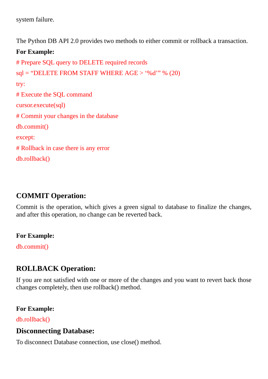system failure.

The Python DB API 2.0 provides two methods to either commit or rollback a transaction.

### **For Example:**

# Prepare SQL query to DELETE required records  $sgl = "DELETE$  FROM STAFF WHERE AGE > '%d'" % (20) try: # Execute the SQL command cursor.execute(sql) # Commit your changes in the database db.commit() except: # Rollback in case there is any error db.rollback()

# **COMMIT Operation:**

Commit is the operation, which gives a green signal to database to finalize the changes, and after this operation, no change can be reverted back.

### **For Example:**

db.commit()

# **ROLLBACK Operation:**

If you are not satisfied with one or more of the changes and you want to revert back those changes completely, then use rollback() method.

### **For Example:**

db.rollback()

## **Disconnecting Database:**

To disconnect Database connection, use close() method.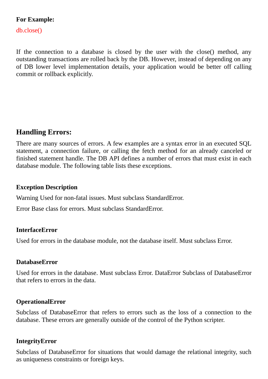### **For Example:**

db.close()

If the connection to a database is closed by the user with the close() method, any outstanding transactions are rolled back by the DB. However, instead of depending on any of DB lower level implementation details, your application would be better off calling commit or rollback explicitly.

# **Handling Errors:**

There are many sources of errors. A few examples are a syntax error in an executed SQL statement, a connection failure, or calling the fetch method for an already canceled or finished statement handle. The DB API defines a number of errors that must exist in each database module. The following table lists these exceptions.

### **Exception Description**

Warning Used for non-fatal issues. Must subclass StandardError.

Error Base class for errors. Must subclass StandardError.

#### **InterfaceError**

Used for errors in the database module, not the database itself. Must subclass Error.

#### **DatabaseError**

Used for errors in the database. Must subclass Error. DataError Subclass of DatabaseError that refers to errors in the data.

#### **OperationalError**

Subclass of DatabaseError that refers to errors such as the loss of a connection to the database. These errors are generally outside of the control of the Python scripter.

#### **IntegrityError**

Subclass of DatabaseError for situations that would damage the relational integrity, such as uniqueness constraints or foreign keys.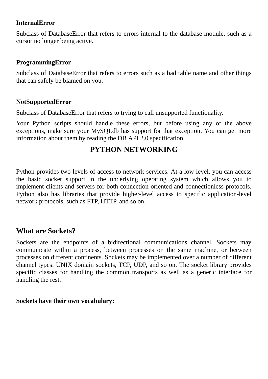### **InternalError**

Subclass of DatabaseError that refers to errors internal to the database module, such as a cursor no longer being active.

#### **ProgrammingError**

Subclass of DatabaseError that refers to errors such as a bad table name and other things that can safely be blamed on you.

#### **NotSupportedError**

Subclass of DatabaseError that refers to trying to call unsupported functionality.

Your Python scripts should handle these errors, but before using any of the above exceptions, make sure your MySQLdb has support for that exception. You can get more information about them by reading the DB API 2.0 specification.

## **PYTHON NETWORKING**

Python provides two levels of access to network services. At a low level, you can access the basic socket support in the underlying operating system which allows you to implement clients and servers for both connection oriented and connectionless protocols. Python also has libraries that provide higher-level access to specific application-level network protocols, such as FTP, HTTP, and so on.

## **What are Sockets?**

Sockets are the endpoints of a bidirectional communications channel. Sockets may communicate within a process, between processes on the same machine, or between processes on different continents. Sockets may be implemented over a number of different channel types: UNIX domain sockets, TCP, UDP, and so on. The socket library provides specific classes for handling the common transports as well as a generic interface for handling the rest.

#### **Sockets have their own vocabulary:**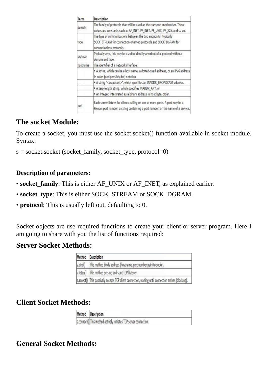| Term                                                                                                                                                                      | Description                                                                                                                                                      |  |  |  |
|---------------------------------------------------------------------------------------------------------------------------------------------------------------------------|------------------------------------------------------------------------------------------------------------------------------------------------------------------|--|--|--|
| domain                                                                                                                                                                    | The family of protocols that will be used as the transport mechanism. These<br>values are constants such as AF_INET, PF_INET, PF_UNIX, PF_X25, and so on.        |  |  |  |
| type                                                                                                                                                                      | The type of communications between the two endpoints, typically<br>SOCK_STREAM for connection-oriented protocols and SOCK_DGRAM for<br>connectionless protocols. |  |  |  |
| protocol                                                                                                                                                                  | Typically zero, this may be used to identify a variant of a protocol within a<br>domain and type.                                                                |  |  |  |
| hostname                                                                                                                                                                  | The identifier of a network interface:                                                                                                                           |  |  |  |
|                                                                                                                                                                           | . A string, which can be a host name, a dotted-quad address, or an IPV6 address<br>in colon (and possibly dot) notation                                          |  |  |  |
|                                                                                                                                                                           | * A string "<br>broadcast>", which specifies an INADDR_BROADCAST address.                                                                                        |  |  |  |
|                                                                                                                                                                           | . A zero-length string, which specifies INADDR_ANY, or                                                                                                           |  |  |  |
|                                                                                                                                                                           | . An Integer, interpreted as a binary address in host byte order.                                                                                                |  |  |  |
| Each server listens for clients calling on one or more ports. A port may be a<br>port<br>Fixnum port number, a string containing a port number, or the name of a service. |                                                                                                                                                                  |  |  |  |

## **The socket Module:**

To create a socket, you must use the socket.socket() function available in socket module. Syntax:

 $s =$ socket.socket (socket family, socket type, protocol=0)

### **Description of parameters:**

- **socket\_family**: This is either AF\_UNIX or AF\_INET, as explained earlier.
- **socket\_type**: This is either SOCK\_STREAM or SOCK\_DGRAM.
- **protocol**: This is usually left out, defaulting to 0.

Socket objects are use required functions to create your client or server program. Here I am going to share with you the list of functions required:

## **Server Socket Methods:**

| Method Description                                                                                    |  |
|-------------------------------------------------------------------------------------------------------|--|
| s.bind()   This method binds address (hostname, port number pair) to socket.                          |  |
| s.listen() This method sets up and start TCP listener.                                                |  |
| s.accept() This passively accepts TCP client connection, waiting until connection arrives (blocking). |  |

## **Client Socket Methods:**

| Method Description                                                |
|-------------------------------------------------------------------|
| s.connect() This method actively initiates TCP server connection. |

## **General Socket Methods:**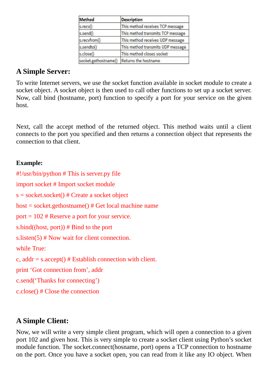| Method               | Description                       |  |  |
|----------------------|-----------------------------------|--|--|
| s.recv()             | This method receives TCP message  |  |  |
| s.send()             | This method transmits TCP message |  |  |
| s.recvfrom()         | This method receives UDP message  |  |  |
| s.sendto()           | This method transmits UDP message |  |  |
| s.close()            | This method closes socket         |  |  |
| socket.gethostname() | Returns the hostname              |  |  |

## **A Simple Server:**

To write Internet servers, we use the socket function available in socket module to create a socket object. A socket object is then used to call other functions to set up a socket server. Now, call bind (hostname, port) function to specify a port for your service on the given host.

Next, call the accept method of the returned object. This method waits until a client connects to the port you specified and then returns a connection object that represents the connection to that client.

### **Example:**

#!/usr/bin/python # This is server.py file import socket # Import socket module  $s = socket.socket() \# Create a socket object$ host = socket.gethostname() # Get local machine name port = 102 # Reserve a port for your service. s.bind((host, port))  $#$  Bind to the port s.listen(5) # Now wait for client connection. while True: c, addr = s.accept() # Establish connection with client. print 'Got connection from', addr c.send('Thanks for connecting') c.close() # Close the connection

# **A Simple Client:**

Now, we will write a very simple client program, which will open a connection to a given port 102 and given host. This is very simple to create a socket client using Python's socket module function. The socket.connect(hosname, port) opens a TCP connection to hostname on the port. Once you have a socket open, you can read from it like any IO object. When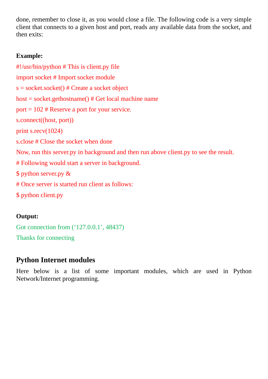done, remember to close it, as you would close a file. The following code is a very simple client that connects to a given host and port, reads any available data from the socket, and then exits:

### **Example:**

#!/usr/bin/python # This is client.py file import socket # Import socket module  $s = socket.socket() \# Create a socket object$ host = socket.gethostname() # Get local machine name port = 102 # Reserve a port for your service. s.connect((host, port)) print s.recv(1024) s.close # Close the socket when done Now, run this server.py in background and then run above client.py to see the result. # Following would start a server in background. \$ python server.py & # Once server is started run client as follows: \$ python client.py

## **Output:**

Got connection from ('127.0.0.1', 48437) Thanks for connecting

## **Python Internet modules**

Here below is a list of some important modules, which are used in Python Network/Internet programming.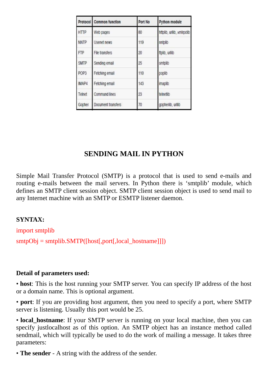|                  | Protocol Common function | Port No | Python module              |
|------------------|--------------------------|---------|----------------------------|
| <b>HTTP</b>      | Web pages                | 80      | httplib, urllib, xmlrpclib |
| <b>NNTP</b>      | Usenet news              | 119     | nntplib                    |
| <b>FTP</b>       | File transfers           | 20      | ftplib, urllib             |
| <b>SMTP</b>      | Sending email            | 25      | smtplib                    |
| POP <sub>3</sub> | Fetching email           | 110     | poplib                     |
| IMAP4            | Fetching email           | 143     | <i>imaplib</i>             |
| Telnet           | <b>Command lines</b>     | 23      | telnetlib                  |
| Gopher           | Document transfers       | 70      | gopherlib, urilib          |

# **SENDING MAIL IN PYTHON**

Simple Mail Transfer Protocol (SMTP) is a protocol that is used to send e-mails and routing e-mails between the mail servers. In Python there is 'smtplib' module, which defines an SMTP client session object. SMTP client session object is used to send mail to any Internet machine with an SMTP or ESMTP listener daemon.

## **SYNTAX:**

import smtplib

smtpObj = smtplib.SMTP([host[,port[,local\_hostname]]])

### **Detail of parameters used:**

• **host**: This is the host running your SMTP server. You can specify IP address of the host or a domain name. This is optional argument.

• **port**: If you are providing host argument, then you need to specify a port, where SMTP server is listening. Usually this port would be 25.

• **local\_hostname**: If your SMTP server is running on your local machine, then you can specify justlocalhost as of this option. An SMTP object has an instance method called sendmail, which will typically be used to do the work of mailing a message. It takes three parameters:

• **The sender** - A string with the address of the sender.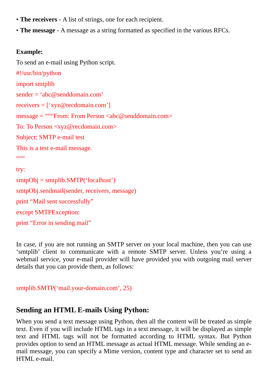- **The receivers** A list of strings, one for each recipient.
- **The message** A message as a string formatted as specified in the various RFCs.

### **Example:**

```
To send an e-mail using Python script.
#!/usr/bin/python
import smtplib
sender = 'abc@senddomain.com'
receivers = ['xyz@recdomain.com']
message = \frac{1}{10} From: From Person \langle \text{abc}(\omega) \rangle senddomain.com
To: To Person <xyz@recdomain.com>
Subject: SMTP e-mail test
This is a test e-mail message.
""""
try:
smtpObj = smtplib.SMTP('localhost')
smtpObj.sendmail(sender, receivers, message)
print "Mail sent successfully"
except SMTPException:
print "Error in sending mail"
```
In case, if you are not running an SMTP server on your local machine, then you can use 'smtplib' client to communicate with a remote SMTP server. Unless you're using a webmail service, your e-mail provider will have provided you with outgoing mail server details that you can provide them, as follows:

smtplib.SMTP('mail.your-domain.com', 25)

## **Sending an HTML E-mails Using Python:**

When you send a text message using Python, then all the content will be treated as simple text. Even if you will include HTML tags in a text message, it will be displayed as simple text and HTML tags will not be formatted according to HTML syntax. But Python provides option to send an HTML message as actual HTML message. While sending an email message, you can specify a Mime version, content type and character set to send an HTML e-mail.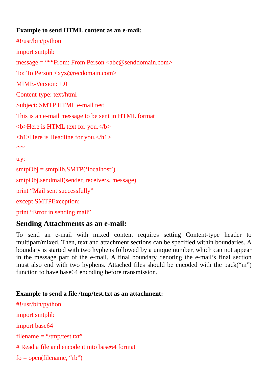### **Example to send HTML content as an e-mail:**

```
#!/usr/bin/python
import smtplib
message = \frac{1}{10} From: From Person \langle \text{abc}(\omega) \rangle senddomain.com
To: To Person <xyz@recdomain.com>
MIME-Version: 1.0
Content-type: text/html
Subject: SMTP HTML e-mail test
This is an e-mail message to be sent in HTML format
<b>Here is HTML text for you.</b>
<h1>Here is Headline for you.</h1>
""""
try:
smtpObj = smtplib.SMTP('localhost')
smtpObj.sendmail(sender, receivers, message)
print "Mail sent successfully"
except SMTPException:
```
print "Error in sending mail"

## **Sending Attachments as an e-mail:**

To send an e-mail with mixed content requires setting Content-type header to multipart/mixed. Then, text and attachment sections can be specified within boundaries. A boundary is started with two hyphens followed by a unique number, which can not appear in the message part of the e-mail. A final boundary denoting the e-mail's final section must also end with two hyphens. Attached files should be encoded with the pack("m") function to have base64 encoding before transmission.

### **Example to send a file /tmp/test.txt as an attachment:**

```
#!/usr/bin/python
import smtplib
import base64
filename = "/tmp/test.txt"
# Read a file and encode it into base64 format
fo = open(filename, "rb")
```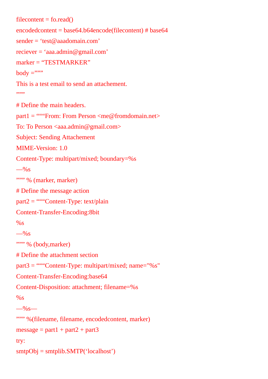```
filecontent = fo.read()encodedcontent = base64.b64encode(filecontent) # base64
sender = 'test@aaadomain.com'
reciever = 'aaa.admin@gmail.com'
marker = "TESTMARKER"
body = \dotsThis is a test email to send an attachement.
......
# Define the main headers.
part1 = """From: From Person \leq me@from domain.net
```

```
To: To Person \leqaaa.admin@gmail.com>
```
Subject: Sending Attachement

MIME-Version: 1.0

Content-Type: multipart/mixed; boundary=%s

```
-%s
```

```
""" % (marker, marker)
```
# Define the message action

```
part2 = """Content-Type: text/plain
```
Content-Transfer-Encoding:8bit

```
%S
```
 $-$ %s

```
""" % (body, marker)
```
# Define the attachment section

```
part3 = """Content-Type: multipart/mixed; name="%s"
```
Content-Transfer-Encoding:base64

Content-Disposition: attachment; filename=%s

 $\%S$ 

 $-$ %s—

```
""" %(filename, filename, encodedcontent, marker)
```

```
message = part1 + part2 + part3
```
try:

```
smtpObj = smtplib.SMTP('localhost')
```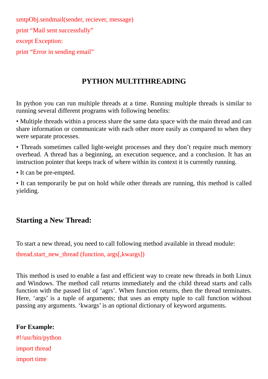smtpObj.sendmail(sender, reciever, message) print "Mail sent successfully" except Exception: print "Error in sending email"

# **PYTHON MULTITHREADING**

In python you can run multiple threads at a time. Running multiple threads is similar to running several different programs with following benefits:

• Multiple threads within a process share the same data space with the main thread and can share information or communicate with each other more easily as compared to when they were separate processes.

• Threads sometimes called light-weight processes and they don't require much memory overhead. A thread has a beginning, an execution sequence, and a conclusion. It has an instruction pointer that keeps track of where within its context it is currently running.

• It can be pre-empted.

• It can temporarily be put on hold while other threads are running, this method is called yielding.

## **Starting a New Thread:**

To start a new thread, you need to call following method available in thread module:

thread.start\_new\_thread (function, args[,kwargs])

This method is used to enable a fast and efficient way to create new threads in both Linux and Windows. The method call returns immediately and the child thread starts and calls function with the passed list of 'agrs'. When function returns, then the thread terminates. Here, 'args' is a tuple of arguments; that uses an empty tuple to call function without passing any arguments. 'kwargs' is an optional dictionary of keyword arguments.

### **For Example:**

#!/usr/bin/python import thread import time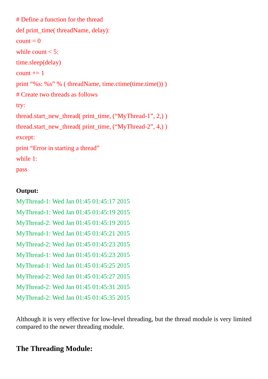```
# Define a function for the thread
def print_time( threadName, delay):
count = 0while count \le 5:
time.sleep(delay)
count += 1print "%s: %s" % ( threadName, time.ctime(time.time()) )
# Create two threads as follows
try:
thread.start_new_thread( print_time, ("MyThread-1", 2,) )
thread.start_new_thread( print_time, ("MyThread-2", 4,) )
except:
print "Error in starting a thread"
while 1:
pass
```
### **Output:**

MyThread-1: Wed Jan 01:45 01:45:17 2015 MyThread-1: Wed Jan 01:45 01:45:19 2015 MyThread-2: Wed Jan 01:45 01:45:19 2015 MyThread-1: Wed Jan 01:45 01:45:21 2015 MyThread-2: Wed Jan 01:45 01:45:23 2015 MyThread-1: Wed Jan 01:45 01:45:23 2015 MyThread-1: Wed Jan 01:45 01:45:25 2015 MyThread-2: Wed Jan 01:45 01:45:27 2015 MyThread-2: Wed Jan 01:45 01:45:31 2015 MyThread-2: Wed Jan 01:45 01:45:35 2015

Although it is very effective for low-level threading, but the thread module is very limited compared to the newer threading module.

## **The Threading Module:**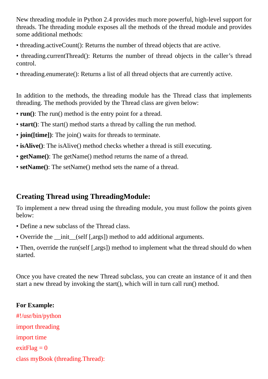New threading module in Python 2.4 provides much more powerful, high-level support for threads. The threading module exposes all the methods of the thread module and provides some additional methods:

• threading.activeCount(): Returns the number of thread objects that are active.

• threading.currentThread(): Returns the number of thread objects in the caller's thread control.

• threading.enumerate(): Returns a list of all thread objects that are currently active.

In addition to the methods, the threading module has the Thread class that implements threading. The methods provided by the Thread class are given below:

- **run()**: The run() method is the entry point for a thread.
- **start()**: The start() method starts a thread by calling the run method.
- **join([time])**: The join() waits for threads to terminate.
- **isAlive()**: The isAlive() method checks whether a thread is still executing.
- **getName()**: The getName() method returns the name of a thread.
- **setName()**: The setName() method sets the name of a thread.

# **Creating Thread using ThreadingModule:**

To implement a new thread using the threading module, you must follow the points given below:

- Define a new subclass of the Thread class.
- Override the \_\_init (self [,args]) method to add additional arguments.

• Then, override the run(self [,args]) method to implement what the thread should do when started.

Once you have created the new Thread subclass, you can create an instance of it and then start a new thread by invoking the start(), which will in turn call run() method.

## **For Example:**

#!/usr/bin/python import threading import time exit $Flag = 0$ class myBook (threading.Thread):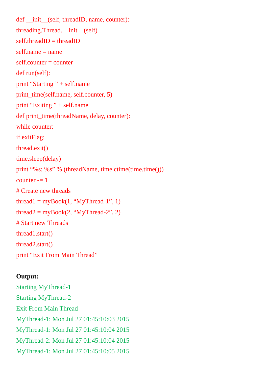```
def init (self, threadID, name, counter):
threading.Thread.__init__(self)
self.threadID = threadID
self.name = nameself.counter = counter
def run(self):
print "Starting " + self.name
print_time(self.name, self.counter, 5)
print "Exiting " + self.name
def print_time(threadName, delay, counter):
while counter:
if exitFlag:
thread.exit()
time.sleep(delay)
print "%s: %s" % (threadName, time.ctime(time.time()))
counter -= 1
# Create new threads
thread1 = myBook(1, "MyThread-1", 1)thread2 = myBook(2, "MyThread-2", 2)# Start new Threads
thread1.start()
thread2.start()
print "Exit From Main Thread"
```
#### **Output:**

Starting MyThread-1 Starting MyThread-2 Exit From Main Thread MyThread-1: Mon Jul 27 01:45:10:03 2015 MyThread-1: Mon Jul 27 01:45:10:04 2015 MyThread-2: Mon Jul 27 01:45:10:04 2015 MyThread-1: Mon Jul 27 01:45:10:05 2015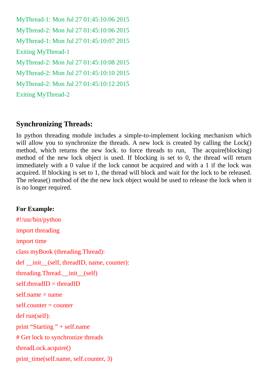MyThread-1: Mon Jul 27 01:45:10:06 2015 MyThread-2: Mon Jul 27 01:45:10:06 2015 MyThread-1: Mon Jul 27 01:45:10:07 2015 Exiting MyThread-1 MyThread-2: Mon Jul 27 01:45:10:08 2015 MyThread-2: Mon Jul 27 01:45:10:10 2015 MyThread-2: Mon Jul 27 01:45:10:12 2015 Exiting MyThread-2

# **Synchronizing Threads:**

In python threading module includes a simple-to-implement locking mechanism which will allow you to synchronize the threads. A new lock is created by calling the Lock() method, which returns the new lock. to force threads to run, The acquire(blocking) method of the new lock object is used. If blocking is set to 0, the thread will return immediately with a 0 value if the lock cannot be acquired and with a 1 if the lock was acquired. If blocking is set to 1, the thread will block and wait for the lock to be released. The release() method of the the new lock object would be used to release the lock when it is no longer required.

#### **For Example:**

#!/usr/bin/python import threading import time class myBook (threading.Thread): def init (self, threadID, name, counter): threading.Thread.\_\_init\_\_(self)  $self$  threadID = threadID  $self.name = name$ self.counter = counter def run(self): print "Starting " + self.name # Get lock to synchronize threads threadLock.acquire() print\_time(self.name, self.counter, 3)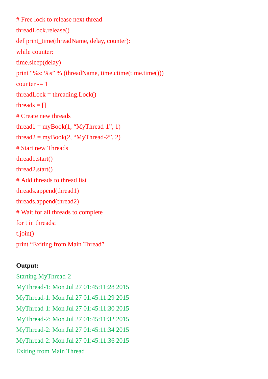```
# Free lock to release next thread
threadLock.release()
def print_time(threadName, delay, counter):
while counter:
time.sleep(delay)
print "%s: %s" % (threadName, time.ctime(time.time()))
counter -= 1
threadLock = threading.Lock()threads = \Box# Create new threads
thread1 = myBook(1, "MyThread-1", 1)thread2 = myBook(2, "MyThread-2", 2)# Start new Threads
thread1.start()
thread2.start()
# Add threads to thread list
threads.append(thread1)
threads.append(thread2)
# Wait for all threads to complete
for t in threads:
t.join()
print "Exiting from Main Thread"
```
### **Output:**

Starting MyThread-2 MyThread-1: Mon Jul 27 01:45:11:28 2015 MyThread-1: Mon Jul 27 01:45:11:29 2015 MyThread-1: Mon Jul 27 01:45:11:30 2015 MyThread-2: Mon Jul 27 01:45:11:32 2015 MyThread-2: Mon Jul 27 01:45:11:34 2015 MyThread-2: Mon Jul 27 01:45:11:36 2015 Exiting from Main Thread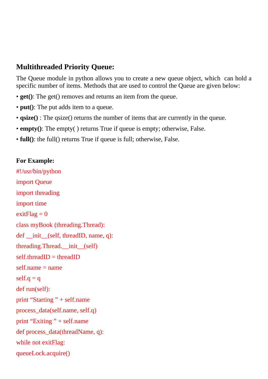## **Multithreaded Priority Queue:**

The Queue module in python allows you to create a new queue object, which can hold a specific number of items. Methods that are used to control the Queue are given below:

- **get()**: The get() removes and returns an item from the queue.
- **put()**: The put adds item to a queue.
- **qsize()** : The qsize() returns the number of items that are currently in the queue.
- **empty()**: The empty( ) returns True if queue is empty; otherwise, False.
- **full()**: the full() returns True if queue is full; otherwise, False.

#### **For Example:**

```
#!/usr/bin/python
import Queue
import threading
import time
exitFlag = 0class myBook (threading.Thread):
def init (self, threadID, name, q):
threading.Thread.__init__(self)
self.threadID = threadID
self.name = nameself.q = qdef run(self):
print "Starting " + self.name
process_data(self.name, self.q)
print "Exiting " + self.name
def process_data(threadName, q):
while not exitFlag:
queueLock.acquire()
```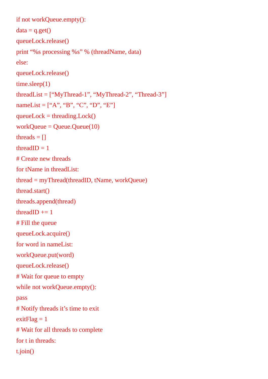```
if not workQueue.empty():
data = q.get()queueLock.release()
print "%s processing %s" % (threadName, data)
else:
queueLock.release()
time.sleep(1)
threadList = ["MyThread-1", "MyThread-2", "Thread-3"]
nameList = [{}^{\alpha}A^{\nu}, {}^{\alpha}B^{\nu}, {}^{\alpha}C^{\nu}, {}^{\alpha}D^{\nu}, {}^{\alpha}E^{\nu}]queueLock = threading.Lock()workQueue = Queue.Queue(10)
threads = \BoxthreadID = 1# Create new threads
for tName in threadList:
thread = myThread(threadID, tName, workQueue)
thread.start()
threads.append(thread)
threadID += 1# Fill the queue
queueLock.acquire()
for word in nameList:
workQueue.put(word)
queueLock.release()
# Wait for queue to empty
while not workQueue.empty():
pass
# Notify threads it's time to exit
exitFlag = 1# Wait for all threads to complete
for t in threads:
t.join()
```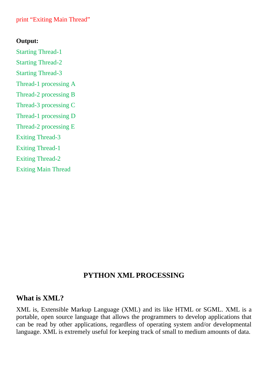print "Exiting Main Thread"

### **Output:**

Starting Thread-1 Starting Thread-2 Starting Thread-3 Thread-1 processing A Thread-2 processing B Thread-3 processing C Thread-1 processing D Thread-2 processing E Exiting Thread-3 Exiting Thread-1 Exiting Thread-2 Exiting Main Thread

# **PYTHON XML PROCESSING**

### **What is XML?**

XML is, Extensible Markup Language (XML) and its like HTML or SGML. XML is a portable, open source language that allows the programmers to develop applications that can be read by other applications, regardless of operating system and/or developmental language. XML is extremely useful for keeping track of small to medium amounts of data.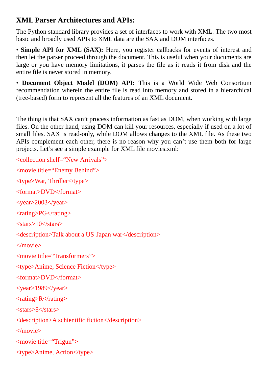## **XML Parser Architectures and APIs:**

The Python standard library provides a set of interfaces to work with XML. The two most basic and broadly used APIs to XML data are the SAX and DOM interfaces.

• **Simple API for XML (SAX):** Here, you register callbacks for events of interest and then let the parser proceed through the document. This is useful when your documents are large or you have memory limitations, it parses the file as it reads it from disk and the entire file is never stored in memory.

• **Document Object Model (DOM) API:** This is a World Wide Web Consortium recommendation wherein the entire file is read into memory and stored in a hierarchical (tree-based) form to represent all the features of an XML document.

The thing is that SAX can't process information as fast as DOM, when working with large files. On the other hand, using DOM can kill your resources, especially if used on a lot of small files. SAX is read-only, while DOM allows changes to the XML file. As these two APIs complement each other, there is no reason why you can't use them both for large projects. Let's see a simple example for XML file movies.xml:

```
<collection shelf="New Arrivals">
<movie title="Enemy Behind">
<type>War, Thriller</type>
<format>DVD</format>
<year>2003</year>
\langle \text{rating} \ranglePG\langle \text{rating} \rangle<stars>10</stars>
<description>Talk about a US-Japan war</description>
</movie>
<movie title="Transformers">
<type>Anime, Science Fiction</type>
<format>DVD</format>
<year>1989</year>
\langlerating>R\langlerating>
<stars>8</stars>
<description>A schientific fiction</description>
</movie>
<movie title="Trigun">
<type>Anime, Action</type>
```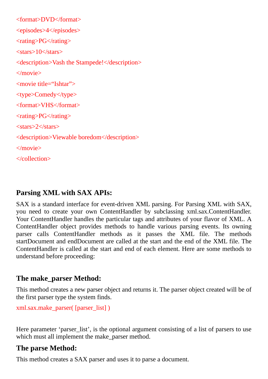```
<format>DVD</format>
<episodes>4</episodes>
\langle\text{rating}\rangle\text{PG}\langle\text{rating}\rangle\langle \text{stars} \rangle 10\langle \text{stars} \rangle<description>Vash the Stampede!</description>
</movie>
<movie title="Ishtar">
<type>Comedy</type>
<format>VHS</format>
\langle \text{rating} \ranglePG\langle \text{rating} \rangle<stars>2</stars>
<description>Viewable boredom</description>
</movie>
</collection>
```
## **Parsing XML with SAX APIs:**

SAX is a standard interface for event-driven XML parsing. For Parsing XML with SAX, you need to create your own ContentHandler by subclassing xml.sax.ContentHandler. Your ContentHandler handles the particular tags and attributes of your flavor of XML. A ContentHandler object provides methods to handle various parsing events. Its owning parser calls ContentHandler methods as it passes the XML file. The methods startDocument and endDocument are called at the start and the end of the XML file. The ContentHandler is called at the start and end of each element. Here are some methods to understand before proceeding:

## **The make\_parser Method:**

This method creates a new parser object and returns it. The parser object created will be of the first parser type the system finds.

xml.sax.make\_parser( [parser\_list] )

Here parameter 'parser list', is the optional argument consisting of a list of parsers to use which must all implement the make parser method.

## **The parse Method:**

This method creates a SAX parser and uses it to parse a document.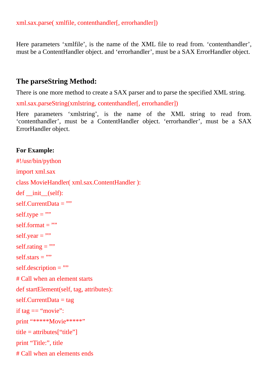Here parameters 'xmlfile', is the name of the XML file to read from. 'contenthandler', must be a ContentHandler object. and 'errorhandler', must be a SAX ErrorHandler object.

# **The parseString Method:**

There is one more method to create a SAX parser and to parse the specified XML string.

xml.sax.parseString(xmlstring, contenthandler[, errorhandler])

Here parameters 'xmlstring', is the name of the XML string to read from. 'contenthandler', must be a ContentHandler object. 'errorhandler', must be a SAX ErrorHandler object.

### **For Example:**

#!/usr/bin/python import xml.sax class MovieHandler( xml.sax.ContentHandler ): def init (self): self.CurrentData = "" self.type  $=$  "" self.format  $=$  "" self.year  $=$  "" self.rating  $=$  "" self.stars  $=$  "" self.description = "" # Call when an element starts def startElement(self, tag, attributes): self.CurrentData = tag if tag  $==$  "movie": print "\*\*\*\*\*\*Movie\*\*\*\*\*" title = attributes["title"] print "Title:", title # Call when an elements ends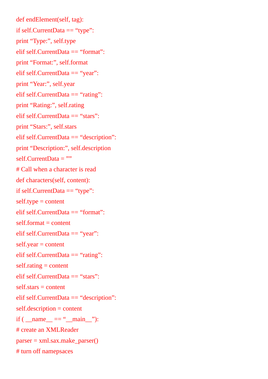def endElement(self, tag): if self.CurrentData == "type": print "Type:", self.type elif self.CurrentData == "format": print "Format:", self.format elif self.CurrentData == "year": print "Year:", self.year elif self.CurrentData == "rating": print "Rating:", self.rating elif self.CurrentData == "stars": print "Stars:", self.stars elif self.CurrentData == "description": print "Description:", self.description self.CurrentData =  $""$ # Call when a character is read def characters(self, content): if self.CurrentData == "type": self.type = content elif self.CurrentData == "format": self.format = content elif self.CurrentData == "year": self.year = content elif self.CurrentData == "rating": self.rating = content elif self.CurrentData == "stars": self.stars = content elif self.CurrentData == "description": self.description = content if  $(\_name__name__ == "__main__$ "): # create an XMLReader parser = xml.sax.make\_parser() # turn off namepsaces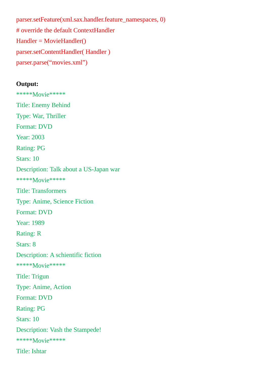parser.setFeature(xml.sax.handler.feature\_namespaces, 0) # override the default ContextHandler Handler = MovieHandler() parser.setContentHandler( Handler ) parser.parse("movies.xml")

#### **Output:**

\*\*\*\*\*Movie\*\*\*\*\* Title: Enemy Behind Type: War, Thriller Format: DVD Year: 2003 Rating: PG Stars: 10 Description: Talk about a US-Japan war \*\*\*\*\*Movie\*\*\*\*\* Title: Transformers Type: Anime, Science Fiction Format: DVD Year: 1989 Rating: R Stars: 8 Description: A schientific fiction \*\*\*\*\*Movie\*\*\*\*\* Title: Trigun Type: Anime, Action Format: DVD Rating: PG Stars: 10 Description: Vash the Stampede! \*\*\*\*\*Movie\*\*\*\*\* Title: Ishtar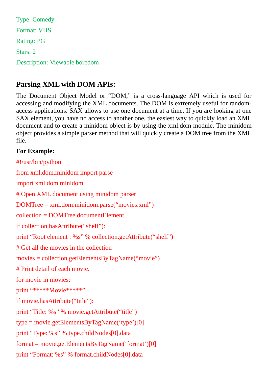Type: Comedy Format: VHS Rating: PG Stars: 2 Description: Viewable boredom

# **Parsing XML with DOM APIs:**

The Document Object Model or "DOM," is a cross-language API which is used for accessing and modifying the XML documents. The DOM is extremely useful for randomaccess applications. SAX allows to use one document at a time. If you are looking at one SAX element, you have no access to another one. the easiest way to quickly load an XML document and to create a minidom object is by using the xml.dom module. The minidom object provides a simple parser method that will quickly create a DOM tree from the XML file.

## **For Example:**

#!/usr/bin/python from xml.dom.minidom import parse import xml.dom.minidom # Open XML document using minidom parser DOMTree = xml.dom.minidom.parse("movies.xml") collection = DOMTree.documentElement if collection.hasAttribute("shelf"): print "Root element : %s" % collection.getAttribute("shelf") # Get all the movies in the collection movies = collection.getElementsByTagName("movie") # Print detail of each movie. for movie in movies: print "\*\*\*\*\*\*Movie\*\*\*\*\*" if movie.hasAttribute("title"): print "Title: %s" % movie.getAttribute("title") type = movie.getElementsByTagName('type')[0] print "Type: %s" % type.childNodes[0].data format = movie.getElementsByTagName('format')[0] print "Format: %s" % format.childNodes[0].data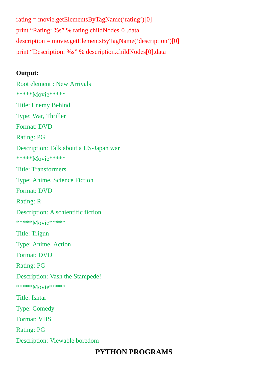rating = movie.getElementsByTagName('rating')[0] print "Rating: %s" % rating.childNodes[0].data description = movie.getElementsByTagName('description')[0] print "Description: %s" % description.childNodes[0].data

#### **Output:**

Root element : New Arrivals \*\*\*\*\*Movie\*\*\*\*\* Title: Enemy Behind Type: War, Thriller Format: DVD Rating: PG Description: Talk about a US-Japan war \*\*\*\*\*Movie\*\*\*\*\* Title: Transformers Type: Anime, Science Fiction Format: DVD Rating: R Description: A schientific fiction \*\*\*\*\*Movie\*\*\*\*\* Title: Trigun Type: Anime, Action Format: DVD Rating: PG Description: Vash the Stampede! \*\*\*\*\*Movie\*\*\*\*\* Title: Ishtar Type: Comedy Format: VHS Rating: PG Description: Viewable boredom

## **PYTHON PROGRAMS**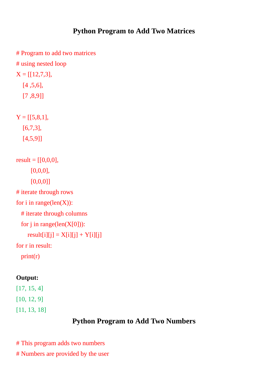## **Python Program to Add Two Matrices**

```
# Program to add two matrices
# using nested loop
X = [[12,7,3],[4 ,5,6],
  [7 ,8,9]]
Y = [[5, 8, 1],[6,7,3],
  [4,5,9]]
result = [0,0,0],
     [0,0,0],
     [0,0,0]]
# iterate through rows
for i in range(len(X)):
 # iterate through columns
 for j in range(len(X[0])):
    result[i][j] = X[i][j] + Y[i][j]for r in result:
 print(r)
```
## **Output:**

[17, 15, 4] [10, 12, 9] [11, 13, 18]

# **Python Program to Add Two Numbers**

# This program adds two numbers

# Numbers are provided by the user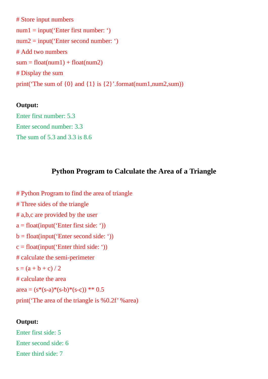# Store input numbers num1 = input('Enter first number: ') num2 = input('Enter second number: ') # Add two numbers  $sum = float(num1) + float(num2)$ # Display the sum print('The sum of  $\{0\}$  and  $\{1\}$  is  $\{2\}$ '.format(num1,num2,sum))

#### **Output:**

Enter first number: 5.3 Enter second number: 3.3 The sum of 5.3 and 3.3 is 8.6

### **Python Program to Calculate the Area of a Triangle**

# Python Program to find the area of triangle # Three sides of the triangle # a,b,c are provided by the user  $a = float(input('Enter first side:'))$  $b = float(input('Enter second side:'))$  $c = float(input('Enter third side:'))$ # calculate the semi-perimeter  $s = (a + b + c)/2$ # calculate the area area =  $(s*(s-a)*(s-b)*(s-c))**0.5$ print('The area of the triangle is %0.2f' %area)

### **Output:**

Enter first side: 5 Enter second side: 6 Enter third side: 7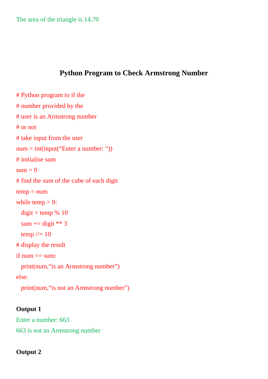The area of the triangle is 14.70

## **Python Program to Check Armstrong Number**

# Python program to if the # number provided by the # user is an Armstrong number # or not # take input from the user num = int(input("Enter a number: ")) # initialise sum  $sum = 0$ # find the sum of the cube of each digit  $temp = num$ while temp  $> 0$ :  $digit = temp % 10$ sum  $+=$  digit  $**$  3 temp  $/$  = 10 # display the result if  $num == sum$ : print(num,"is an Armstrong number") else: print(num, "is not an Armstrong number")

### **Output 1**

Enter a number: 663 663 is not an Armstrong number

#### **Output 2**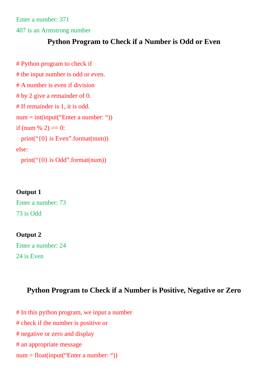Enter a number: 371 407 is an Armstrong number

## **Python Program to Check if a Number is Odd or Even**

# Python program to check if # the input number is odd or even. # A number is even if division # by 2 give a remainder of 0. # If remainder is 1, it is odd. num = int(input("Enter a number: ")) if (num  $\% 2$ ) == 0: print("{0} is Even".format(num)) else: print("{0} is Odd".format(num))

#### **Output 1**

Enter a number: 73 73 is Odd

#### **Output 2**

Enter a number: 24 24 is Even

## **Python Program to Check if a Number is Positive, Negative or Zero**

# In this python program, we input a number # check if the number is positive or # negative or zero and display # an appropriate message num = float(input("Enter a number: "))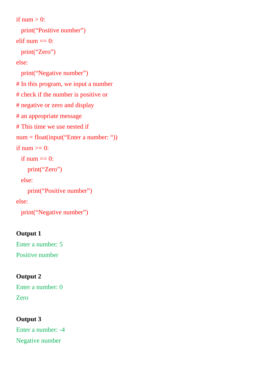```
if num > 0:
 print("Positive number")
elif num == 0:
 print("Zero")
else:
 print("Negative number")
# In this program, we input a number
# check if the number is positive or
# negative or zero and display
# an appropriate message
# This time we use nested if
num = float(input("Enter a number: "))
if num >= 0:
 if num == 0:
    print("Zero")
  else:
    print("Positive number")
```
else:

print("Negative number")

### **Output 1**

Enter a number: 5 Positive number

### **Output 2**

Enter a number: 0 Zero

### **Output 3**

Enter a number: -4 Negative number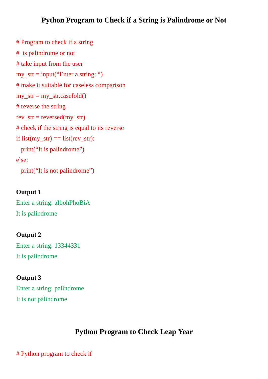## **Python Program to Check if a String is Palindrome or Not**

```
# Program to check if a string
# is palindrome or not
# take input from the user
my_str = input("Enter a string: ")
# make it suitable for caseless comparison
my_str = my_str.casefold()
# reverse the string
rev\_str = reversed(my\_str)# check if the string is equal to its reverse
if list(my_str) == list(rev_str):
 print("It is palindrome")
else:
 print("It is not palindrome")
```
#### **Output 1**

Enter a string: aIbohPhoBiA It is palindrome

#### **Output 2**

Enter a string: 13344331 It is palindrome

#### **Output 3**

Enter a string: palindrome It is not palindrome

### **Python Program to Check Leap Year**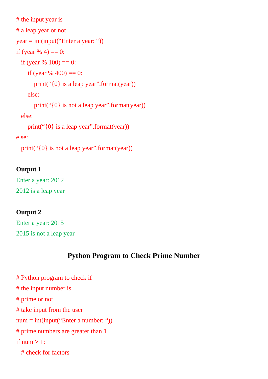```
# the input year is
# a leap year or not
year = int(input("Enter a year: "))
if (year % 4) == 0:
 if (year % 100) == 0:
    if (year % 400) == 0:
       print("{0} is a leap year".format(year))
    else:
       print("{0} is not a leap year".format(year))
  else:
    print("{0} is a leap year".format(year))
else:
 print("{0} is not a leap year".format(year))
```

```
Output 1
```
Enter a year: 2012 2012 is a leap year

### **Output 2**

Enter a year: 2015 2015 is not a leap year

# **Python Program to Check Prime Number**

```
# Python program to check if
# the input number is
# prime or not
# take input from the user
num = int(input("Enter a number: "))
# prime numbers are greater than 1
if num > 1:
 # check for factors
```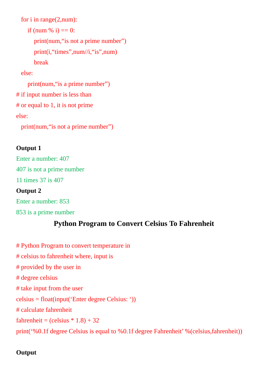```
for i in range(2,num):
    if (num \% i) == 0:
       print(num, "is not a prime number")
       print(i,"times",num//i,"is",num)
       break
  else:
    print(num, "is a prime number")
# if input number is less than
# or equal to 1, it is not prime
else:
```
print(num,"is not a prime number")

#### **Output 1**

Enter a number: 407 407 is not a prime number 11 times 37 is 407

#### **Output 2**

Enter a number: 853 853 is a prime number

### **Python Program to Convert Celsius To Fahrenheit**

```
# Python Program to convert temperature in
# celsius to fahrenheit where, input is
# provided by the user in
# degree celsius
# take input from the user
celsius = float(input('Enter degree Celsius: '))
# calculate fahrenheit
fahrenheit = (celsius * 1.8) + 32print('%0.1f degree Celsius is equal to %0.1f degree Fahrenheit' %(celsius,fahrenheit))
```
### **Output**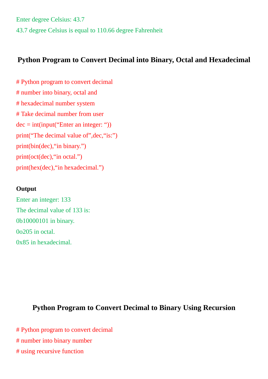Enter degree Celsius: 43.7 43.7 degree Celsius is equal to 110.66 degree Fahrenheit

# **Python Program to Convert Decimal into Binary, Octal and Hexadecimal**

# Python program to convert decimal # number into binary, octal and # hexadecimal number system # Take decimal number from user dec = int(input("Enter an integer: ")) print("The decimal value of",dec,"is:") print(bin(dec),"in binary.") print(oct(dec), "in octal.") print(hex(dec),"in hexadecimal.")

## **Output**

Enter an integer: 133 The decimal value of 133 is: 0b10000101 in binary. 0o205 in octal. 0x85 in hexadecimal.

# **Python Program to Convert Decimal to Binary Using Recursion**

# Python program to convert decimal # number into binary number # using recursive function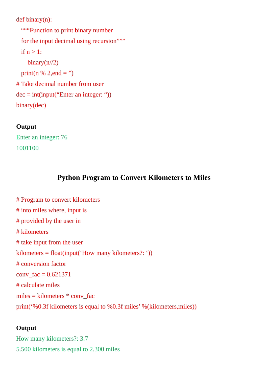def binary(n): """Function to print binary number for the input decimal using recursion""" if  $n > 1$ : binary $(n/2)$ print(n % 2,end = ") # Take decimal number from user dec = int(input("Enter an integer: ")) binary(dec)

#### **Output**

Enter an integer: 76 1001100

## **Python Program to Convert Kilometers to Miles**

# Program to convert kilometers # into miles where, input is # provided by the user in # kilometers # take input from the user kilometers = float(input('How many kilometers?: ')) # conversion factor conv  $fac = 0.621371$ # calculate miles miles =  $kilometers * conv$  fac print('%0.3f kilometers is equal to %0.3f miles' %(kilometers,miles))

### **Output**

How many kilometers?: 3.7 5.500 kilometers is equal to 2.300 miles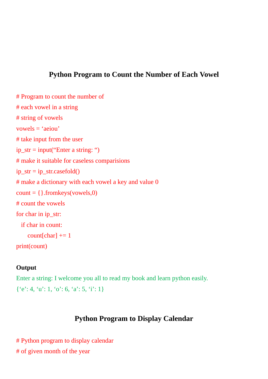## **Python Program to Count the Number of Each Vowel**

```
# Program to count the number of
# each vowel in a string
# string of vowels
vowels = 'aeiou'
# take input from the user
ip_str = input("Enter a string: ")
# make it suitable for caseless comparisions
ip\_str = ip\_str.casefold()# make a dictionary with each vowel a key and value 0
count = \{\}.fromkeys(vowels,0)
# count the vowels
for char in ip str:
 if char in count:
    count[char] += 1print(count)
```
#### **Output**

Enter a string: I welcome you all to read my book and learn python easily.  ${e': 4, 'u': 1, 'o': 6, 'a': 5, 'i': 1}$ 

# **Python Program to Display Calendar**

# Python program to display calendar # of given month of the year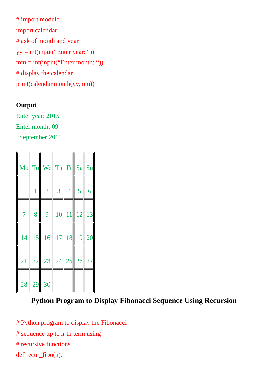# import module import calendar # ask of month and year  $yy = int(input("Enter year: "))$ mm = int(input("Enter month: ")) # display the calendar print(calendar.month(yy,mm))

## **Output**

Enter year: 2015 Enter month: 09 September 2015

|                |              | Mo Tu We Th Fr Sa Su |                |                       |             |    |
|----------------|--------------|----------------------|----------------|-----------------------|-------------|----|
|                | $\mathbf{1}$ | $\overline{2}$       | 3              | $\vert 4 \vert \vert$ | 5           | 6  |
| $\overline{7}$ | 8            | 9                    |                |                       | 10 11 12    | 13 |
| 14             | 15           | 16                   |                |                       | 17 18 19 20 |    |
| 21             | 22           |                      | 23 24 25 26 27 |                       |             |    |
| 28             |              | 29 30                |                |                       |             |    |

# **Python Program to Display Fibonacci Sequence Using Recursion**

# Python program to display the Fibonacci

# sequence up to n-th term using

# recursive functions

def recur\_fibo(n):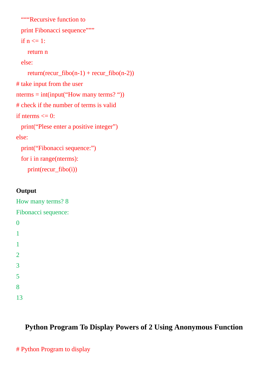```
"""Recursive function to
 print Fibonacci sequence"""
 if n \leq 1:
    return n
 else:
    return(recur_fibo(n-1) + recur_fibo(n-2))# take input from the user
nterms = int(input("How many terms? "))
# check if the number of terms is valid
if nterms \leq 0:
 print("Plese enter a positive integer")
else:
 print("Fibonacci sequence:")
 for i in range(nterms):
    print(recur_fibo(i))
```
How many terms? 8 Fibonacci sequence:

# **Python Program To Display Powers of 2 Using Anonymous Function**

# Python Program to display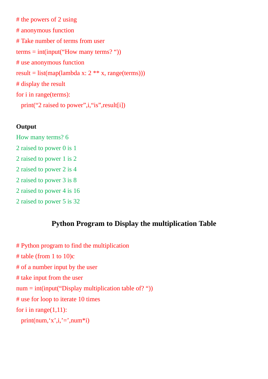```
# the powers of 2 using
# anonymous function
# Take number of terms from user
terms = int(input("How many terms?"))# use anonymous function
result = list(map(lambda x: 2 ** x, range(terms)))
# display the result
for i in range(terms):
 print("2 raised to power", i, "is", result[i])
```
How many terms? 6 raised to power 0 is 1 raised to power 1 is 2 raised to power 2 is 4 raised to power 3 is 8 raised to power 4 is 16 raised to power 5 is 32

## **Python Program to Display the multiplication Table**

# Python program to find the multiplication # table (from 1 to 10)c # of a number input by the user # take input from the user  $num = int(input("Display multiplication table of?"))$ # use for loop to iterate 10 times for i in range $(1,11)$ :  $print(num, 'x', i,'=', num*<sub>i</sub>)$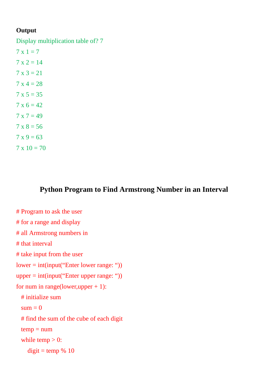Display multiplication table of? 7

 $7 \times 1 = 7$  $7 \times 2 = 14$  $7 \times 3 = 21$  $7 \times 4 = 28$  $7 \times 5 = 35$  $7 \times 6 = 42$  $7 \times 7 = 49$  $7 \times 8 = 56$  $7 \times 9 = 63$  $7 \times 10 = 70$ 

## **Python Program to Find Armstrong Number in an Interval**

```
# Program to ask the user
# for a range and display
# all Armstrong numbers in
# that interval
# take input from the user
lower = int(input("Enter lower range: "))
upper = int(input("Enter upper range: "))
for num in range(lower, upper +1):
 # initialize sum
 sum = 0# find the sum of the cube of each digit
 temp = numwhile temp > 0:
    digit = temp % 10
```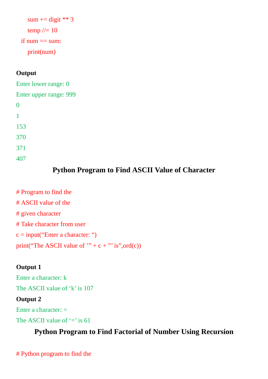```
sum += digit ** 3
  temp / = 10
if num == sum:
  print(num)
```
Enter lower range: 0 Enter upper range: 999 0 1 153 370 371 407

# **Python Program to Find ASCII Value of Character**

# Program to find the # ASCII value of the # given character # Take character from user  $c = input("Enter a character: ")$ print("The ASCII value of  $" + c + "$  is",ord(c))

#### **Output 1**

Enter a character: k The ASCII value of 'k' is 107 **Output 2** Enter a character: =

The ASCII value of  $=$  is 61

## **Python Program to Find Factorial of Number Using Recursion**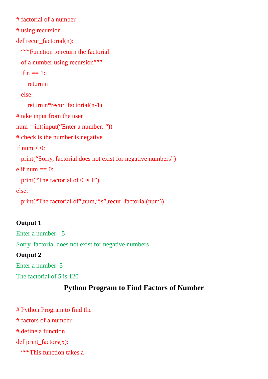# factorial of a number # using recursion def recur\_factorial(n): """Function to return the factorial" of a number using recursion""" if  $n == 1$ : return n else: return n\*recur\_factorial(n-1) # take input from the user num = int(input("Enter a number: ")) # check is the number is negative if  $num < 0$ : print("Sorry, factorial does not exist for negative numbers") elif num  $== 0$ :

```
print("The factorial of 0 is 1")
```
else:

print("The factorial of",num,"is",recur\_factorial(num))

#### **Output 1**

Enter a number: -5 Sorry, factorial does not exist for negative numbers

#### **Output 2**

Enter a number: 5 The factorial of 5 is 120

# **Python Program to Find Factors of Number**

# Python Program to find the # factors of a number # define a function def print\_factors(x): """This function takes a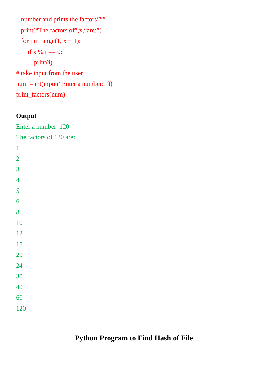number and prints the factors""" print("The factors of", x, "are:") for i in range(1,  $x + 1$ ): if  $x \frac{9}{6} i == 0$ : print(i) # take input from the user num = int(input("Enter a number: ")) print\_factors(num)

## **Output**

Enter a number: 120

The factors of 120 are:

# **Python Program to Find Hash of File**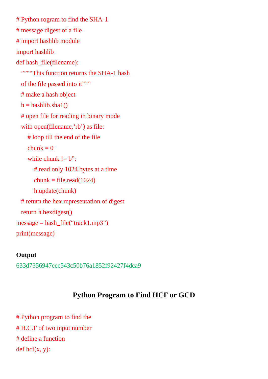```
# Python rogram to find the SHA-1
# message digest of a file
# import hashlib module
import hashlib
def hash_file(filename):
 """"This function returns the SHA-1 hash
 of the file passed into it"""
 # make a hash object
 h = hashlib.sha1()
 # open file for reading in binary mode
 with open(filename,'rb') as file:
    # loop till the end of the file
    chunk = 0while chunk != b":
      # read only 1024 bytes at a time
      chunk = file.read(1024)h.update(chunk)
 # return the hex representation of digest
 return h.hexdigest()
message = hash_file("track1.mp3")
print(message)
```

```
633d7356947eec543c50b76a1852f92427f4dca9
```
## **Python Program to Find HCF or GCD**

# Python program to find the # H.C.F of two input number # define a function  $def hcf(x, y)$ :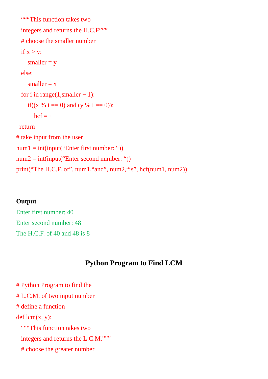```
"""This function takes two
 integers and returns the H.C.F"""
 # choose the smaller number
 if x > y:
    smaller = yelse:
    smaller = xfor i in range(1, smaller +1):
    if((x \% i = = 0) and (y \% i = = 0)):
      hc f = ireturn
# take input from the user
num1 = int(input("Enter first number: "))
num2 = int(input("Enter second number: "))
print("The H.C.F. of", num1, "and", num2, "is", hcf(num1, num2))
```
Enter first number: 40 Enter second number: 48 The H.C.F. of 40 and 48 is 8

## **Python Program to Find LCM**

# Python Program to find the # L.C.M. of two input number # define a function  $def lcm(x, y)$ : """This function takes two integers and returns the L.C.M.""" # choose the greater number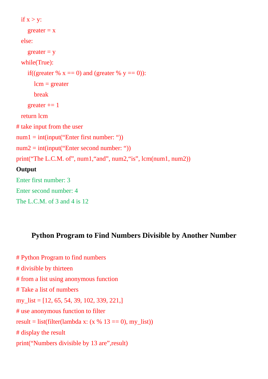```
if x > y:
    greater = xelse:
    greater = vwhile(True):
    if((greater % x = 0) and (greater % y = 0)):
      lcm = greater
      break
    greater += 1return lcm
# take input from the user
num1 = int(input("Enter first number: "))
num2 = int(input("Enter second number: "))
print("The L.C.M. of", num1, "and", num2, "is", lcm(num1, num2))
Output
Enter first number: 3
Enter second number: 4
The L.C.M. of 3 and 4 is 12
```
## **Python Program to Find Numbers Divisible by Another Number**

# Python Program to find numbers # divisible by thirteen # from a list using anonymous function # Take a list of numbers my\_list = [12, 65, 54, 39, 102, 339, 221,] # use anonymous function to filter result = list(filter(lambda x:  $(x % 13 == 0), my_list)$ ) # display the result print("Numbers divisible by 13 are",result)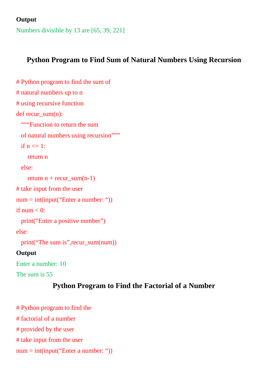Numbers divisible by 13 are [65, 39, 221]

## **Python Program to Find Sum of Natural Numbers Using Recursion**

```
# Python program to find the sum of
# natural numbers up to n
# using recursive function
def recur_sum(n):
 """Function to return the sum
 of natural numbers using recursion"""
 if n \leq 1:
    return n
 else:
    return n + recur_sum(n-1)
# take input from the user
num = int(input("Enter a number: "))
if num < 0:
 print("Enter a positive number")
else:
 print("The sum is",recur_sum(num))
Output
Enter a number: 10
The sum is 55
```
## **Python Program to Find the Factorial of a Number**

# Python program to find the # factorial of a number # provided by the user # take input from the user num = int(input("Enter a number: "))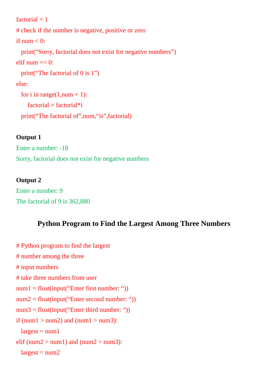```
factorial = 1# check if the number is negative, positive or zero
if num \leq 0:
 print("Sorry, factorial does not exist for negative numbers")
elif num == 0:
 print("The factorial of 0 is 1")
else:
 for i in range(1, num + 1):
    factorial = factorial *iprint("The factorial of",num,"is",factorial)
```
Enter a number: -18 Sorry, factorial does not exist for negative numbers

### **Output 2**

Enter a number: 9 The factorial of 9 is 362,880

## **Python Program to Find the Largest Among Three Numbers**

- # Python program to find the largest
- # number among the three
- # input numbers
- # take three numbers from user
- num1 = float(input("Enter first number: "))
- num2 = float(input("Enter second number: "))
- num3 = float(input("Enter third number: "))
- if (num1  $>$  num2) and (num1  $>$  num3):

 $largest = num1$ 

elif (num2 > num1) and (num2 > num3):

 $largest = num2$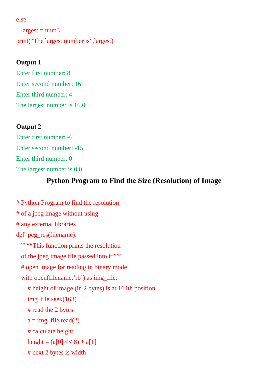else:

 $largest = num3$ print("The largest number is",largest)

## **Output 1**

Enter first number: 8 Enter second number: 16 Enter third number: 4 The largest number is 16.0

### **Output 2**

Enter first number: -6 Enter second number: -15 Enter third number: 0 The largest number is 0.0

## **Python Program to Find the Size (Resolution) of Image**

# Python Program to find the resolution # of a jpeg image without using # any external libraries def jpeg\_res(filename): """""This function prints the resolution of the jpeg image file passed into it""" # open image for reading in binary mode with open(filename,'rb') as img file: # height of image (in 2 bytes) is at 164th position img\_file.seek(163) # read the 2 bytes  $a = img$  file.read(2) # calculate height height =  $(a[0] \ll 8) + a[1]$ # next 2 bytes is width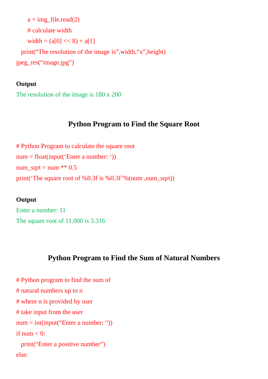$a = img$  file.read(2) # calculate width width =  $(a[0] \ll 8) + a[1]$ print("The resolution of the image is",width,"x",height) jpeg\_res("image.jpg")

#### **Output**

The resolution of the image is 180 x 200

## **Python Program to Find the Square Root**

# Python Program to calculate the square root num = float(input('Enter a number: ')) num sqrt = num  $** 0.5$ print('The square root of %0.3f is %0.3f'%(num ,num\_sqrt))

## **Output**

Enter a number: 11 The square root of 11.000 is 3.316

## **Python Program to Find the Sum of Natural Numbers**

# Python program to find the sum of # natural numbers up to n # where n is provided by user # take input from the user num = int(input("Enter a number: ")) if  $\text{num} < 0$ : print("Enter a positive number") else: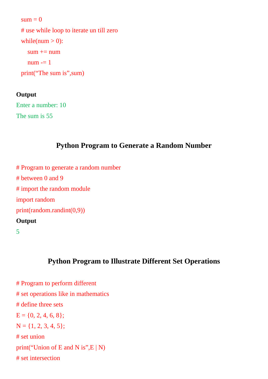```
sum = 0# use while loop to iterate un till zero
while(num > 0):
  sum +1 num
  num = 1print("The sum is",sum)
```
Enter a number: 10 The sum is 55

# **Python Program to Generate a Random Number**

# Program to generate a random number # between 0 and 9

# import the random module

import random

print(random.randint(0,9))

#### **Output**

5

# **Python Program to Illustrate Different Set Operations**

# Program to perform different # set operations like in mathematics # define three sets  $E = \{0, 2, 4, 6, 8\};$  $N = \{1, 2, 3, 4, 5\};$ # set union print("Union of E and N is", E | N) # set intersection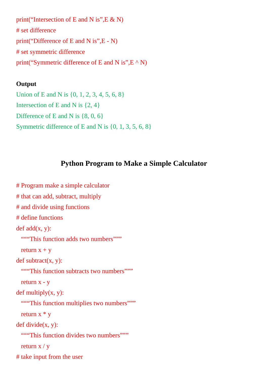print("Intersection of E and N is",E & N) # set difference print("Difference of E and N is", E - N) # set symmetric difference print("Symmetric difference of E and N is",  $E \wedge N$ )

#### **Output**

Union of E and N is {0, 1, 2, 3, 4, 5, 6, 8} Intersection of E and N is  $\{2, 4\}$ Difference of E and N is {8, 0, 6} Symmetric difference of E and N is {0, 1, 3, 5, 6, 8}

## **Python Program to Make a Simple Calculator**

# Program make a simple calculator # that can add, subtract, multiply # and divide using functions # define functions  $def add(x, y)$ : """This function adds two numbers""" return  $x + y$ def subtract(x, y): """This function subtracts two numbers""" return x - y  $def multiply(x, y)$ : """This function multiplies two numbers""" return  $x * y$ def divide(x, y): """This function divides two numbers""" return x / y # take input from the user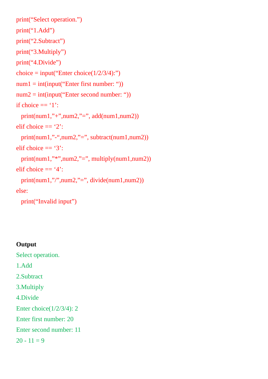```
print("Select operation.")
print("1.Add")
print("2.Subtract")
print("3.Multiply")
print("4.Divide")
choice = input("Enter choice(1/2/3/4):")
num1 = int(input("Enter first number: "))
num2 = int(input("Enter second number: "))
if choice == '1:
 print(num1," +", num2," =", add(num1, num2))elif choice == '2:
 print(num1,"-",num2,"=", subtract(num1,num2))
elif choice == '3:
 print(num1," **", num2," =", multiply(num1, num2))elif choice == '4:
 print(num1,"", num2,"=', divide(num1,num2))
else:
 print("Invalid input")
```
Select operation. 1.Add

2.Subtract

3.Multiply

4.Divide

Enter choice(1/2/3/4): 2

Enter first number: 20

Enter second number: 11

 $20 - 11 = 9$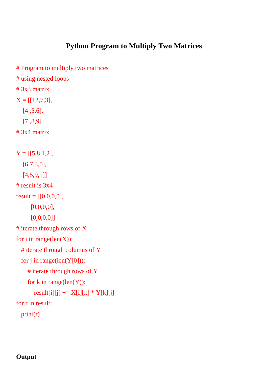# **Python Program to Multiply Two Matrices**

```
# Program to multiply two matrices
# using nested loops
# 3x3 matrix
X = [[12,7,3],[4 ,5,6],
  [7, 8, 9]# 3x4 matrix
Y = [[5, 8, 1, 2],[6,7,3,0],
  [4,5,9,1]]
# result is 3x4
result = [ [0, 0, 0, 0],[0,0,0,0],
      [0,0,0,0]]
# iterate through rows of X
for i in range(len(X)):
  # iterate through columns of Y
  for j in range(len(Y[0])):
    # iterate through rows of Y
    for k in range(len(Y)):
       result[i][j] += X[i][k] * Y[k][j]
for r in result:
  print(r)
```
#### **Output**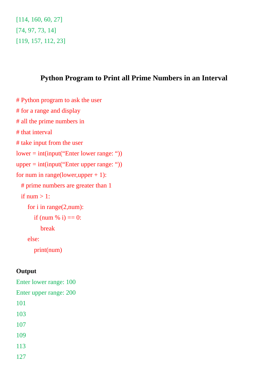[114, 160, 60, 27] [74, 97, 73, 14] [119, 157, 112, 23]

# **Python Program to Print all Prime Numbers in an Interval**

# Python program to ask the user # for a range and display # all the prime numbers in # that interval # take input from the user lower = int(input("Enter lower range: ")) upper = int(input("Enter upper range: ")) for num in range(lower, upper  $+1$ ): # prime numbers are greater than 1 if num  $> 1$ : for i in range(2,num): if (num  $\%$  i) == 0: break else: print(num)

#### **Output**

Enter lower range: 100 Enter upper range: 200 101 103 107 109 113 127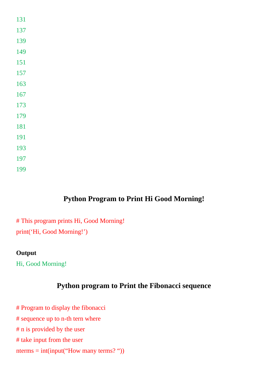| 131 |  |  |  |
|-----|--|--|--|
| 137 |  |  |  |
| 139 |  |  |  |
| 149 |  |  |  |
| 151 |  |  |  |
| 157 |  |  |  |
| 163 |  |  |  |
| 167 |  |  |  |
| 173 |  |  |  |
| 179 |  |  |  |
| 181 |  |  |  |
| 191 |  |  |  |
| 193 |  |  |  |
| 197 |  |  |  |
| 199 |  |  |  |

# **Python Program to Print Hi Good Morning!**

# This program prints Hi, Good Morning! print('Hi, Good Morning!')

## **Output**

Hi, Good Morning!

# **Python program to Print the Fibonacci sequence**

# Program to display the fibonacci # sequence up to n-th tern where # n is provided by the user # take input from the user

nterms = int(input("How many terms? "))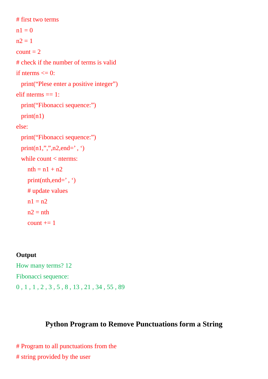```
# first two terms
n1 = 0n2 = 1count = 2# check if the number of terms is valid
if nterms \leq 0:
 print("Plese enter a positive integer")
elif nterms == 1:
 print("Fibonacci sequence:")
 print(n1)
else:
 print("Fibonacci sequence:")
 print(n1,"",n2,end=' , ' )while count < nterms:
    nth = n1 + n2print(nth,end=\prime, \prime)
    # update values
    n1 = n2n2 = nthcount += 1
```
How many terms? 12 Fibonacci sequence: 0 , 1 , 1 , 2 , 3 , 5 , 8 , 13 , 21 , 34 , 55 , 89

# **Python Program to Remove Punctuations form a String**

# Program to all punctuations from the # string provided by the user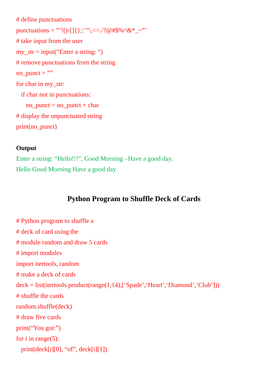# define punctuations punctuations = "'!()-[]{};:'"\, <>./?@#\$%^&\*\_~"' # take input from the user my  $str = input("Enter a string: ")$ # remove punctuations from the string no  $punct = ""$ for char in my\_str: if char not in punctuations: no punct = no punct + char # display the unpunctuated string print(no\_punct)

#### **Output**

Enter a string: "Hello!!!", Good Morning –Have a good day. Hello Good Morning Have a good day

# **Python Program to Shuffle Deck of Cards**

# Python program to shuffle a # deck of card using the # module random and draw 5 cards # import modules import itertools, random # make a deck of cards deck = list(itertools.product(range(1,14),['Spade','Heart','Diamond','Club'])) # shuffle the cards random.shuffle(deck) # draw five cards print("You got:") for i in range(5): print(deck[i][0], "of", deck[i][1])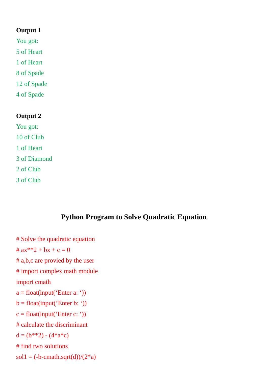You got:

5 of Heart

- 1 of Heart
- 8 of Spade
- 12 of Spade
- 4 of Spade

## **Output 2**

You got: 10 of Club 1 of Heart 3 of Diamond 2 of Club 3 of Club

# **Python Program to Solve Quadratic Equation**

# Solve the quadratic equation #  $ax^{**2} + bx + c = 0$ # a,b,c are provied by the user # import complex math module import cmath  $a = float(input('Enter a:')))$  $b = float(input('Enter b:'))$  $c = float(input('Enter c:'))$ # calculate the discriminant  $d = (b^{**}2) - (4^*a^*c)$ # find two solutions  $sol1 = (-b$ -cmath.sqrt(d))/(2\*a)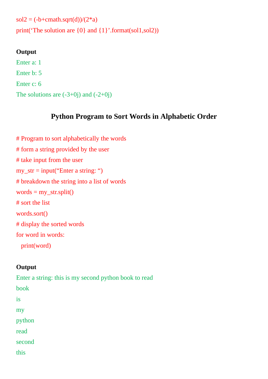$sol2 = (-b+cmath.sqrt(d))/(2*a)$ print('The solution are  $\{0\}$  and  $\{1\}'$ .format(sol1,sol2))

#### **Output**

Enter a: 1 Enter b: 5 Enter c: 6 The solutions are  $(-3+0j)$  and  $(-2+0j)$ 

# **Python Program to Sort Words in Alphabetic Order**

# Program to sort alphabetically the words # form a string provided by the user # take input from the user my  $str = input("Enter a string: ")$ # breakdown the string into a list of words  $words = my\_str.split()$ # sort the list words.sort() # display the sorted words for word in words: print(word)

#### **Output**

Enter a string: this is my second python book to read book is my python read second this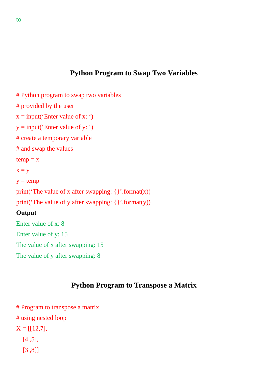## **Python Program to Swap Two Variables**

# Python program to swap two variables # provided by the user  $x = input('Enter value of x: ' )$  $y = input('Enter value of y: ' )$ # create a temporary variable # and swap the values  $temp = x$  $x = y$  $y = temp$ print('The value of x after swapping:  $\{\}$ '.format(x)) print('The value of y after swapping: {}'.format(y)) **Output** Enter value of x: 8 Enter value of y: 15 The value of x after swapping: 15 The value of y after swapping: 8

## **Python Program to Transpose a Matrix**

# Program to transpose a matrix # using nested loop  $X = [12, 7],$ [4 ,5], [3 ,8]]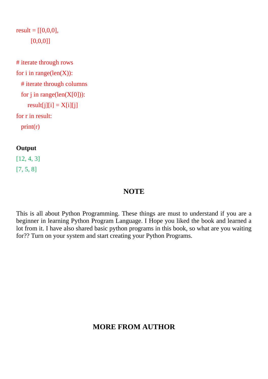result =  $[0,0,0]$ , [0,0,0]]

```
# iterate through rows
for i in range(len(X)):
 # iterate through columns
 for j in range(len(X[0])):
    result[i][i] = X[i][i]for r in result:
  print(r)
```
#### **Output**

[12, 4, 3] [7, 5, 8]

### **NOTE**

This is all about Python Programming. These things are must to understand if you are a beginner in learning Python Program Language. I Hope you liked the book and learned a lot from it. I have also shared basic python programs in this book, so what are you waiting for?? Turn on your system and start creating your Python Programs.

### **MORE FROM AUTHOR**